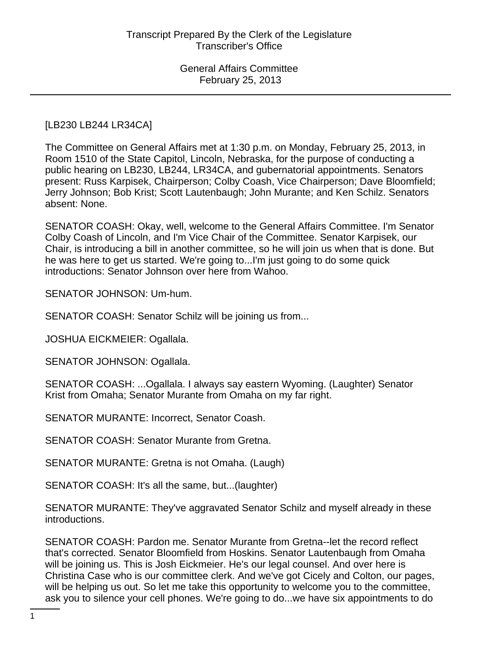## [LB230 LB244 LR34CA]

The Committee on General Affairs met at 1:30 p.m. on Monday, February 25, 2013, in Room 1510 of the State Capitol, Lincoln, Nebraska, for the purpose of conducting a public hearing on LB230, LB244, LR34CA, and gubernatorial appointments. Senators present: Russ Karpisek, Chairperson; Colby Coash, Vice Chairperson; Dave Bloomfield; Jerry Johnson; Bob Krist; Scott Lautenbaugh; John Murante; and Ken Schilz. Senators absent: None.

SENATOR COASH: Okay, well, welcome to the General Affairs Committee. I'm Senator Colby Coash of Lincoln, and I'm Vice Chair of the Committee. Senator Karpisek, our Chair, is introducing a bill in another committee, so he will join us when that is done. But he was here to get us started. We're going to...I'm just going to do some quick introductions: Senator Johnson over here from Wahoo.

SENATOR JOHNSON: Um-hum.

SENATOR COASH: Senator Schilz will be joining us from...

JOSHUA EICKMEIER: Ogallala.

SENATOR JOHNSON: Ogallala.

SENATOR COASH: ...Ogallala. I always say eastern Wyoming. (Laughter) Senator Krist from Omaha; Senator Murante from Omaha on my far right.

SENATOR MURANTE: Incorrect, Senator Coash.

SENATOR COASH: Senator Murante from Gretna.

SENATOR MURANTE: Gretna is not Omaha. (Laugh)

SENATOR COASH: It's all the same, but...(laughter)

SENATOR MURANTE: They've aggravated Senator Schilz and myself already in these introductions.

SENATOR COASH: Pardon me. Senator Murante from Gretna--let the record reflect that's corrected. Senator Bloomfield from Hoskins. Senator Lautenbaugh from Omaha will be joining us. This is Josh Eickmeier. He's our legal counsel. And over here is Christina Case who is our committee clerk. And we've got Cicely and Colton, our pages, will be helping us out. So let me take this opportunity to welcome you to the committee, ask you to silence your cell phones. We're going to do...we have six appointments to do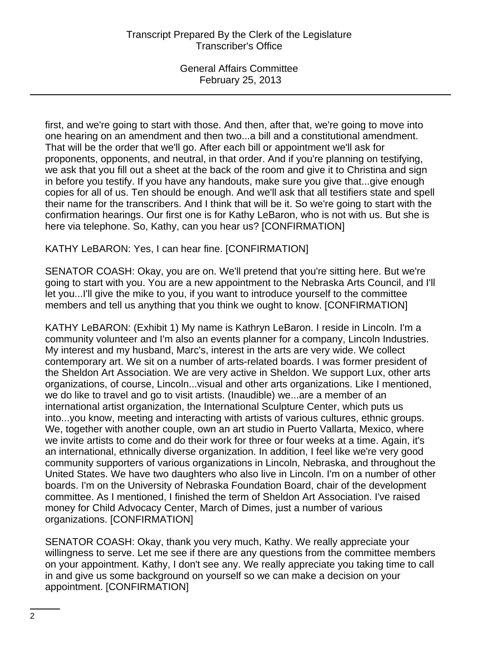first, and we're going to start with those. And then, after that, we're going to move into one hearing on an amendment and then two...a bill and a constitutional amendment. That will be the order that we'll go. After each bill or appointment we'll ask for proponents, opponents, and neutral, in that order. And if you're planning on testifying, we ask that you fill out a sheet at the back of the room and give it to Christina and sign in before you testify. If you have any handouts, make sure you give that...give enough copies for all of us. Ten should be enough. And we'll ask that all testifiers state and spell their name for the transcribers. And I think that will be it. So we're going to start with the confirmation hearings. Our first one is for Kathy LeBaron, who is not with us. But she is here via telephone. So, Kathy, can you hear us? [CONFIRMATION]

# KATHY LeBARON: Yes, I can hear fine. [CONFIRMATION]

SENATOR COASH: Okay, you are on. We'll pretend that you're sitting here. But we're going to start with you. You are a new appointment to the Nebraska Arts Council, and I'll let you...I'll give the mike to you, if you want to introduce yourself to the committee members and tell us anything that you think we ought to know. [CONFIRMATION]

KATHY LeBARON: (Exhibit 1) My name is Kathryn LeBaron. I reside in Lincoln. I'm a community volunteer and I'm also an events planner for a company, Lincoln Industries. My interest and my husband, Marc's, interest in the arts are very wide. We collect contemporary art. We sit on a number of arts-related boards. I was former president of the Sheldon Art Association. We are very active in Sheldon. We support Lux, other arts organizations, of course, Lincoln...visual and other arts organizations. Like I mentioned, we do like to travel and go to visit artists. (Inaudible) we...are a member of an international artist organization, the International Sculpture Center, which puts us into...you know, meeting and interacting with artists of various cultures, ethnic groups. We, together with another couple, own an art studio in Puerto Vallarta, Mexico, where we invite artists to come and do their work for three or four weeks at a time. Again, it's an international, ethnically diverse organization. In addition, I feel like we're very good community supporters of various organizations in Lincoln, Nebraska, and throughout the United States. We have two daughters who also live in Lincoln. I'm on a number of other boards. I'm on the University of Nebraska Foundation Board, chair of the development committee. As I mentioned, I finished the term of Sheldon Art Association. I've raised money for Child Advocacy Center, March of Dimes, just a number of various organizations. [CONFIRMATION]

SENATOR COASH: Okay, thank you very much, Kathy. We really appreciate your willingness to serve. Let me see if there are any questions from the committee members on your appointment. Kathy, I don't see any. We really appreciate you taking time to call in and give us some background on yourself so we can make a decision on your appointment. [CONFIRMATION]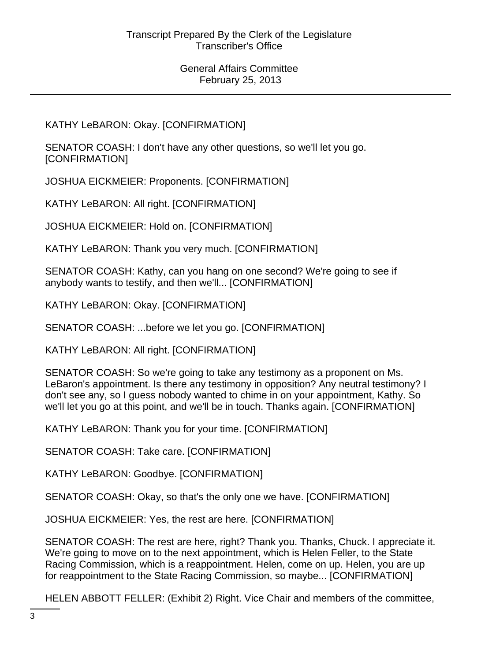KATHY LeBARON: Okay. [CONFIRMATION]

SENATOR COASH: I don't have any other questions, so we'll let you go. [CONFIRMATION]

JOSHUA EICKMEIER: Proponents. [CONFIRMATION]

KATHY LeBARON: All right. [CONFIRMATION]

JOSHUA EICKMEIER: Hold on. [CONFIRMATION]

KATHY LeBARON: Thank you very much. [CONFIRMATION]

SENATOR COASH: Kathy, can you hang on one second? We're going to see if anybody wants to testify, and then we'll... [CONFIRMATION]

KATHY LeBARON: Okay. [CONFIRMATION]

SENATOR COASH: ...before we let you go. [CONFIRMATION]

KATHY LeBARON: All right. [CONFIRMATION]

SENATOR COASH: So we're going to take any testimony as a proponent on Ms. LeBaron's appointment. Is there any testimony in opposition? Any neutral testimony? I don't see any, so I guess nobody wanted to chime in on your appointment, Kathy. So we'll let you go at this point, and we'll be in touch. Thanks again. [CONFIRMATION]

KATHY LeBARON: Thank you for your time. [CONFIRMATION]

SENATOR COASH: Take care. [CONFIRMATION]

KATHY LeBARON: Goodbye. [CONFIRMATION]

SENATOR COASH: Okay, so that's the only one we have. [CONFIRMATION]

JOSHUA EICKMEIER: Yes, the rest are here. [CONFIRMATION]

SENATOR COASH: The rest are here, right? Thank you. Thanks, Chuck. I appreciate it. We're going to move on to the next appointment, which is Helen Feller, to the State Racing Commission, which is a reappointment. Helen, come on up. Helen, you are up for reappointment to the State Racing Commission, so maybe... [CONFIRMATION]

HELEN ABBOTT FELLER: (Exhibit 2) Right. Vice Chair and members of the committee,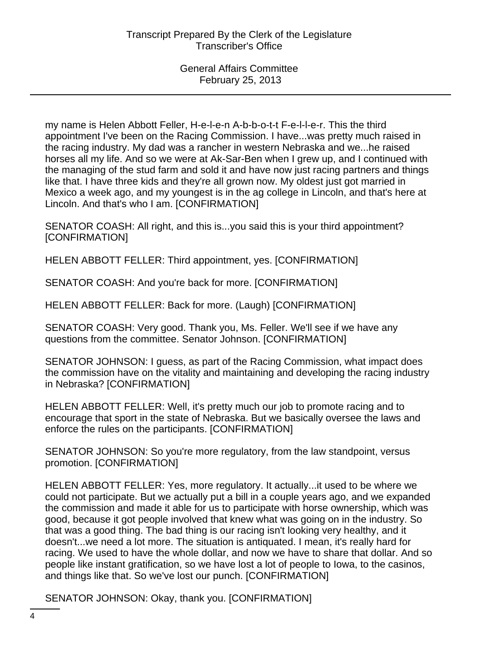my name is Helen Abbott Feller, H-e-l-e-n A-b-b-o-t-t F-e-l-l-e-r. This the third appointment I've been on the Racing Commission. I have...was pretty much raised in the racing industry. My dad was a rancher in western Nebraska and we...he raised horses all my life. And so we were at Ak-Sar-Ben when I grew up, and I continued with the managing of the stud farm and sold it and have now just racing partners and things like that. I have three kids and they're all grown now. My oldest just got married in Mexico a week ago, and my youngest is in the ag college in Lincoln, and that's here at Lincoln. And that's who I am. [CONFIRMATION]

SENATOR COASH: All right, and this is...you said this is your third appointment? [CONFIRMATION]

HELEN ABBOTT FELLER: Third appointment, yes. [CONFIRMATION]

SENATOR COASH: And you're back for more. [CONFIRMATION]

HELEN ABBOTT FELLER: Back for more. (Laugh) [CONFIRMATION]

SENATOR COASH: Very good. Thank you, Ms. Feller. We'll see if we have any questions from the committee. Senator Johnson. [CONFIRMATION]

SENATOR JOHNSON: I guess, as part of the Racing Commission, what impact does the commission have on the vitality and maintaining and developing the racing industry in Nebraska? [CONFIRMATION]

HELEN ABBOTT FELLER: Well, it's pretty much our job to promote racing and to encourage that sport in the state of Nebraska. But we basically oversee the laws and enforce the rules on the participants. [CONFIRMATION]

SENATOR JOHNSON: So you're more regulatory, from the law standpoint, versus promotion. [CONFIRMATION]

HELEN ABBOTT FELLER: Yes, more regulatory. It actually...it used to be where we could not participate. But we actually put a bill in a couple years ago, and we expanded the commission and made it able for us to participate with horse ownership, which was good, because it got people involved that knew what was going on in the industry. So that was a good thing. The bad thing is our racing isn't looking very healthy, and it doesn't...we need a lot more. The situation is antiquated. I mean, it's really hard for racing. We used to have the whole dollar, and now we have to share that dollar. And so people like instant gratification, so we have lost a lot of people to Iowa, to the casinos, and things like that. So we've lost our punch. [CONFIRMATION]

SENATOR JOHNSON: Okay, thank you. [CONFIRMATION]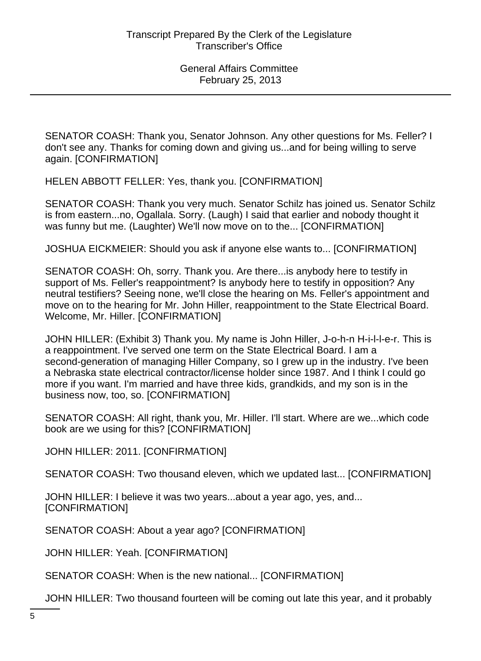SENATOR COASH: Thank you, Senator Johnson. Any other questions for Ms. Feller? I don't see any. Thanks for coming down and giving us...and for being willing to serve again. [CONFIRMATION]

HELEN ABBOTT FELLER: Yes, thank you. [CONFIRMATION]

SENATOR COASH: Thank you very much. Senator Schilz has joined us. Senator Schilz is from eastern...no, Ogallala. Sorry. (Laugh) I said that earlier and nobody thought it was funny but me. (Laughter) We'll now move on to the... [CONFIRMATION]

JOSHUA EICKMEIER: Should you ask if anyone else wants to... [CONFIRMATION]

SENATOR COASH: Oh, sorry. Thank you. Are there...is anybody here to testify in support of Ms. Feller's reappointment? Is anybody here to testify in opposition? Any neutral testifiers? Seeing none, we'll close the hearing on Ms. Feller's appointment and move on to the hearing for Mr. John Hiller, reappointment to the State Electrical Board. Welcome, Mr. Hiller. [CONFIRMATION]

JOHN HILLER: (Exhibit 3) Thank you. My name is John Hiller, J-o-h-n H-i-l-l-e-r. This is a reappointment. I've served one term on the State Electrical Board. I am a second-generation of managing Hiller Company, so I grew up in the industry. I've been a Nebraska state electrical contractor/license holder since 1987. And I think I could go more if you want. I'm married and have three kids, grandkids, and my son is in the business now, too, so. [CONFIRMATION]

SENATOR COASH: All right, thank you, Mr. Hiller. I'll start. Where are we...which code book are we using for this? [CONFIRMATION]

JOHN HILLER: 2011. [CONFIRMATION]

SENATOR COASH: Two thousand eleven, which we updated last... [CONFIRMATION]

JOHN HILLER: I believe it was two years...about a year ago, yes, and... [CONFIRMATION]

SENATOR COASH: About a year ago? [CONFIRMATION]

JOHN HILLER: Yeah. [CONFIRMATION]

SENATOR COASH: When is the new national... [CONFIRMATION]

JOHN HILLER: Two thousand fourteen will be coming out late this year, and it probably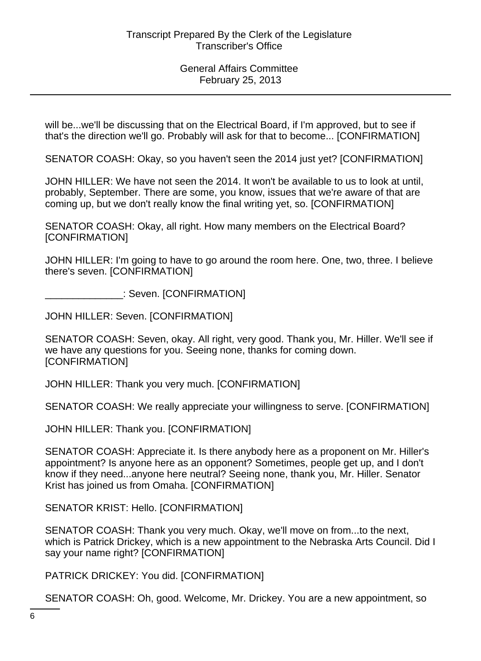will be...we'll be discussing that on the Electrical Board, if I'm approved, but to see if that's the direction we'll go. Probably will ask for that to become... [CONFIRMATION]

SENATOR COASH: Okay, so you haven't seen the 2014 just yet? [CONFIRMATION]

JOHN HILLER: We have not seen the 2014. It won't be available to us to look at until, probably, September. There are some, you know, issues that we're aware of that are coming up, but we don't really know the final writing yet, so. [CONFIRMATION]

SENATOR COASH: Okay, all right. How many members on the Electrical Board? [CONFIRMATION]

JOHN HILLER: I'm going to have to go around the room here. One, two, three. I believe there's seven. [CONFIRMATION]

\_\_\_\_\_\_\_\_\_\_\_\_\_\_: Seven. [CONFIRMATION]

JOHN HILLER: Seven. [CONFIRMATION]

SENATOR COASH: Seven, okay. All right, very good. Thank you, Mr. Hiller. We'll see if we have any questions for you. Seeing none, thanks for coming down. [CONFIRMATION]

JOHN HILLER: Thank you very much. [CONFIRMATION]

SENATOR COASH: We really appreciate your willingness to serve. [CONFIRMATION]

JOHN HILLER: Thank you. [CONFIRMATION]

SENATOR COASH: Appreciate it. Is there anybody here as a proponent on Mr. Hiller's appointment? Is anyone here as an opponent? Sometimes, people get up, and I don't know if they need...anyone here neutral? Seeing none, thank you, Mr. Hiller. Senator Krist has joined us from Omaha. [CONFIRMATION]

SENATOR KRIST: Hello. [CONFIRMATION]

SENATOR COASH: Thank you very much. Okay, we'll move on from...to the next, which is Patrick Drickey, which is a new appointment to the Nebraska Arts Council. Did I say your name right? [CONFIRMATION]

PATRICK DRICKEY: You did. [CONFIRMATION]

SENATOR COASH: Oh, good. Welcome, Mr. Drickey. You are a new appointment, so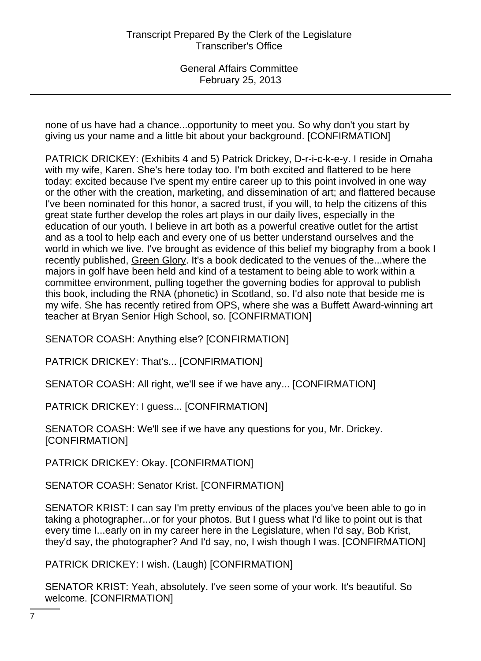none of us have had a chance...opportunity to meet you. So why don't you start by giving us your name and a little bit about your background. [CONFIRMATION]

PATRICK DRICKEY: (Exhibits 4 and 5) Patrick Drickey, D-r-i-c-k-e-y. I reside in Omaha with my wife, Karen. She's here today too. I'm both excited and flattered to be here today: excited because I've spent my entire career up to this point involved in one way or the other with the creation, marketing, and dissemination of art; and flattered because I've been nominated for this honor, a sacred trust, if you will, to help the citizens of this great state further develop the roles art plays in our daily lives, especially in the education of our youth. I believe in art both as a powerful creative outlet for the artist and as a tool to help each and every one of us better understand ourselves and the world in which we live. I've brought as evidence of this belief my biography from a book I recently published, Green Glory. It's a book dedicated to the venues of the...where the majors in golf have been held and kind of a testament to being able to work within a committee environment, pulling together the governing bodies for approval to publish this book, including the RNA (phonetic) in Scotland, so. I'd also note that beside me is my wife. She has recently retired from OPS, where she was a Buffett Award-winning art teacher at Bryan Senior High School, so. [CONFIRMATION]

SENATOR COASH: Anything else? [CONFIRMATION]

PATRICK DRICKEY: That's... [CONFIRMATION]

SENATOR COASH: All right, we'll see if we have any... [CONFIRMATION]

PATRICK DRICKEY: I guess... [CONFIRMATION]

SENATOR COASH: We'll see if we have any questions for you, Mr. Drickey. [CONFIRMATION]

PATRICK DRICKEY: Okay. [CONFIRMATION]

SENATOR COASH: Senator Krist. [CONFIRMATION]

SENATOR KRIST: I can say I'm pretty envious of the places you've been able to go in taking a photographer...or for your photos. But I guess what I'd like to point out is that every time I...early on in my career here in the Legislature, when I'd say, Bob Krist, they'd say, the photographer? And I'd say, no, I wish though I was. [CONFIRMATION]

PATRICK DRICKEY: I wish. (Laugh) [CONFIRMATION]

SENATOR KRIST: Yeah, absolutely. I've seen some of your work. It's beautiful. So welcome. [CONFIRMATION]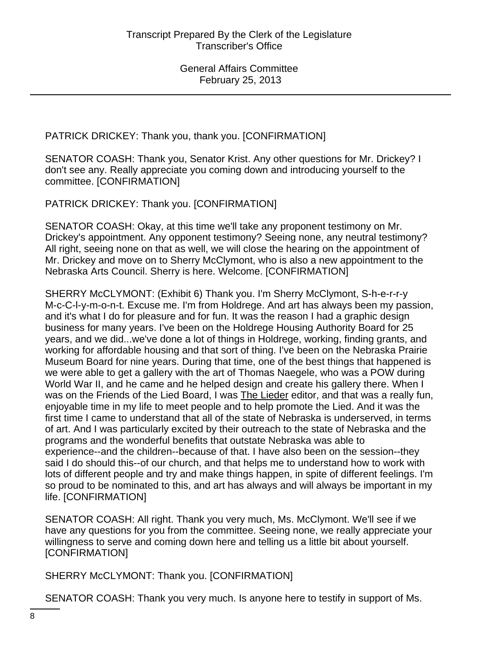PATRICK DRICKEY: Thank you, thank you. [CONFIRMATION]

SENATOR COASH: Thank you, Senator Krist. Any other questions for Mr. Drickey? I don't see any. Really appreciate you coming down and introducing yourself to the committee. [CONFIRMATION]

PATRICK DRICKEY: Thank you. [CONFIRMATION]

SENATOR COASH: Okay, at this time we'll take any proponent testimony on Mr. Drickey's appointment. Any opponent testimony? Seeing none, any neutral testimony? All right, seeing none on that as well, we will close the hearing on the appointment of Mr. Drickey and move on to Sherry McClymont, who is also a new appointment to the Nebraska Arts Council. Sherry is here. Welcome. [CONFIRMATION]

SHERRY McCLYMONT: (Exhibit 6) Thank you. I'm Sherry McClymont, S-h-e-r-r-y M-c-C-l-y-m-o-n-t. Excuse me. I'm from Holdrege. And art has always been my passion, and it's what I do for pleasure and for fun. It was the reason I had a graphic design business for many years. I've been on the Holdrege Housing Authority Board for 25 years, and we did...we've done a lot of things in Holdrege, working, finding grants, and working for affordable housing and that sort of thing. I've been on the Nebraska Prairie Museum Board for nine years. During that time, one of the best things that happened is we were able to get a gallery with the art of Thomas Naegele, who was a POW during World War II, and he came and he helped design and create his gallery there. When I was on the Friends of the Lied Board, I was The Lieder editor, and that was a really fun, enjoyable time in my life to meet people and to help promote the Lied. And it was the first time I came to understand that all of the state of Nebraska is underserved, in terms of art. And I was particularly excited by their outreach to the state of Nebraska and the programs and the wonderful benefits that outstate Nebraska was able to experience--and the children--because of that. I have also been on the session--they said I do should this--of our church, and that helps me to understand how to work with lots of different people and try and make things happen, in spite of different feelings. I'm so proud to be nominated to this, and art has always and will always be important in my life. [CONFIRMATION]

SENATOR COASH: All right. Thank you very much, Ms. McClymont. We'll see if we have any questions for you from the committee. Seeing none, we really appreciate your willingness to serve and coming down here and telling us a little bit about yourself. [CONFIRMATION]

SHERRY McCLYMONT: Thank you. [CONFIRMATION]

SENATOR COASH: Thank you very much. Is anyone here to testify in support of Ms.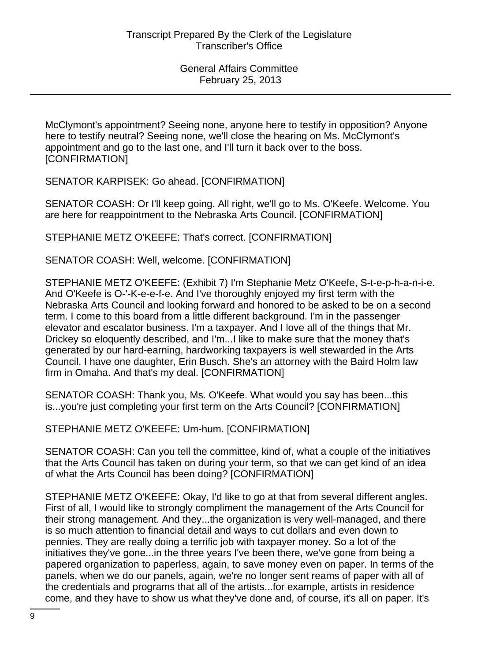McClymont's appointment? Seeing none, anyone here to testify in opposition? Anyone here to testify neutral? Seeing none, we'll close the hearing on Ms. McClymont's appointment and go to the last one, and I'll turn it back over to the boss. [CONFIRMATION]

SENATOR KARPISEK: Go ahead. [CONFIRMATION]

SENATOR COASH: Or I'll keep going. All right, we'll go to Ms. O'Keefe. Welcome. You are here for reappointment to the Nebraska Arts Council. [CONFIRMATION]

STEPHANIE METZ O'KEEFE: That's correct. [CONFIRMATION]

SENATOR COASH: Well, welcome. [CONFIRMATION]

STEPHANIE METZ O'KEEFE: (Exhibit 7) I'm Stephanie Metz O'Keefe, S-t-e-p-h-a-n-i-e. And O'Keefe is O-'-K-e-e-f-e. And I've thoroughly enjoyed my first term with the Nebraska Arts Council and looking forward and honored to be asked to be on a second term. I come to this board from a little different background. I'm in the passenger elevator and escalator business. I'm a taxpayer. And I love all of the things that Mr. Drickey so eloquently described, and I'm...I like to make sure that the money that's generated by our hard-earning, hardworking taxpayers is well stewarded in the Arts Council. I have one daughter, Erin Busch. She's an attorney with the Baird Holm law firm in Omaha. And that's my deal. [CONFIRMATION]

SENATOR COASH: Thank you, Ms. O'Keefe. What would you say has been...this is...you're just completing your first term on the Arts Council? [CONFIRMATION]

STEPHANIE METZ O'KEEFE: Um-hum. [CONFIRMATION]

SENATOR COASH: Can you tell the committee, kind of, what a couple of the initiatives that the Arts Council has taken on during your term, so that we can get kind of an idea of what the Arts Council has been doing? [CONFIRMATION]

STEPHANIE METZ O'KEEFE: Okay, I'd like to go at that from several different angles. First of all, I would like to strongly compliment the management of the Arts Council for their strong management. And they...the organization is very well-managed, and there is so much attention to financial detail and ways to cut dollars and even down to pennies. They are really doing a terrific job with taxpayer money. So a lot of the initiatives they've gone...in the three years I've been there, we've gone from being a papered organization to paperless, again, to save money even on paper. In terms of the panels, when we do our panels, again, we're no longer sent reams of paper with all of the credentials and programs that all of the artists...for example, artists in residence come, and they have to show us what they've done and, of course, it's all on paper. It's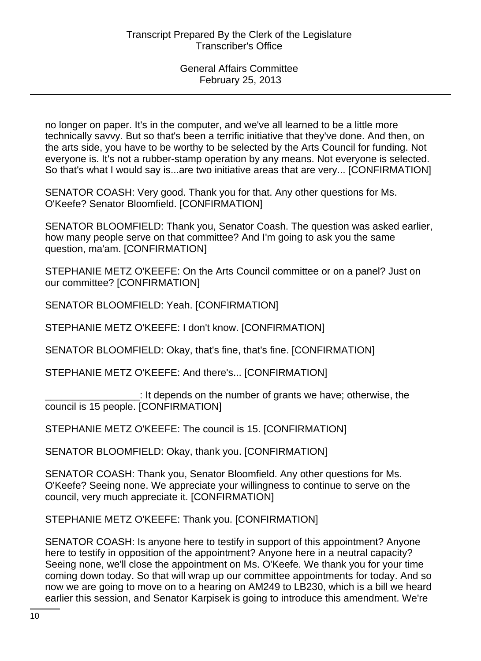no longer on paper. It's in the computer, and we've all learned to be a little more technically savvy. But so that's been a terrific initiative that they've done. And then, on the arts side, you have to be worthy to be selected by the Arts Council for funding. Not everyone is. It's not a rubber-stamp operation by any means. Not everyone is selected. So that's what I would say is...are two initiative areas that are very... [CONFIRMATION]

SENATOR COASH: Very good. Thank you for that. Any other questions for Ms. O'Keefe? Senator Bloomfield. [CONFIRMATION]

SENATOR BLOOMFIELD: Thank you, Senator Coash. The question was asked earlier, how many people serve on that committee? And I'm going to ask you the same question, ma'am. [CONFIRMATION]

STEPHANIE METZ O'KEEFE: On the Arts Council committee or on a panel? Just on our committee? [CONFIRMATION]

SENATOR BLOOMFIELD: Yeah. [CONFIRMATION]

STEPHANIE METZ O'KEEFE: I don't know. [CONFIRMATION]

SENATOR BLOOMFIELD: Okay, that's fine, that's fine. [CONFIRMATION]

STEPHANIE METZ O'KEEFE: And there's... [CONFIRMATION]

\_\_\_\_\_\_\_\_\_\_\_\_\_\_\_\_\_: It depends on the number of grants we have; otherwise, the council is 15 people. [CONFIRMATION]

STEPHANIE METZ O'KEEFE: The council is 15. [CONFIRMATION]

SENATOR BLOOMFIELD: Okay, thank you. [CONFIRMATION]

SENATOR COASH: Thank you, Senator Bloomfield. Any other questions for Ms. O'Keefe? Seeing none. We appreciate your willingness to continue to serve on the council, very much appreciate it. [CONFIRMATION]

STEPHANIE METZ O'KEEFE: Thank you. [CONFIRMATION]

SENATOR COASH: Is anyone here to testify in support of this appointment? Anyone here to testify in opposition of the appointment? Anyone here in a neutral capacity? Seeing none, we'll close the appointment on Ms. O'Keefe. We thank you for your time coming down today. So that will wrap up our committee appointments for today. And so now we are going to move on to a hearing on AM249 to LB230, which is a bill we heard earlier this session, and Senator Karpisek is going to introduce this amendment. We're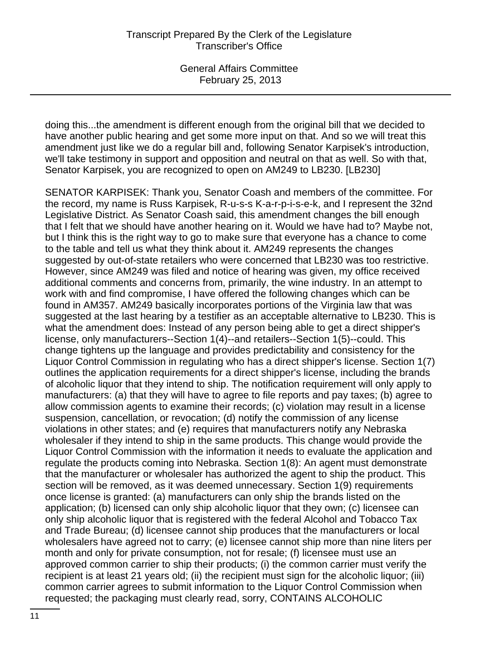doing this...the amendment is different enough from the original bill that we decided to have another public hearing and get some more input on that. And so we will treat this amendment just like we do a regular bill and, following Senator Karpisek's introduction, we'll take testimony in support and opposition and neutral on that as well. So with that, Senator Karpisek, you are recognized to open on AM249 to LB230. [LB230]

SENATOR KARPISEK: Thank you, Senator Coash and members of the committee. For the record, my name is Russ Karpisek, R-u-s-s K-a-r-p-i-s-e-k, and I represent the 32nd Legislative District. As Senator Coash said, this amendment changes the bill enough that I felt that we should have another hearing on it. Would we have had to? Maybe not, but I think this is the right way to go to make sure that everyone has a chance to come to the table and tell us what they think about it. AM249 represents the changes suggested by out-of-state retailers who were concerned that LB230 was too restrictive. However, since AM249 was filed and notice of hearing was given, my office received additional comments and concerns from, primarily, the wine industry. In an attempt to work with and find compromise, I have offered the following changes which can be found in AM357. AM249 basically incorporates portions of the Virginia law that was suggested at the last hearing by a testifier as an acceptable alternative to LB230. This is what the amendment does: Instead of any person being able to get a direct shipper's license, only manufacturers--Section 1(4)--and retailers--Section 1(5)--could. This change tightens up the language and provides predictability and consistency for the Liquor Control Commission in regulating who has a direct shipper's license. Section 1(7) outlines the application requirements for a direct shipper's license, including the brands of alcoholic liquor that they intend to ship. The notification requirement will only apply to manufacturers: (a) that they will have to agree to file reports and pay taxes; (b) agree to allow commission agents to examine their records; (c) violation may result in a license suspension, cancellation, or revocation; (d) notify the commission of any license violations in other states; and (e) requires that manufacturers notify any Nebraska wholesaler if they intend to ship in the same products. This change would provide the Liquor Control Commission with the information it needs to evaluate the application and regulate the products coming into Nebraska. Section 1(8): An agent must demonstrate that the manufacturer or wholesaler has authorized the agent to ship the product. This section will be removed, as it was deemed unnecessary. Section 1(9) requirements once license is granted: (a) manufacturers can only ship the brands listed on the application; (b) licensed can only ship alcoholic liquor that they own; (c) licensee can only ship alcoholic liquor that is registered with the federal Alcohol and Tobacco Tax and Trade Bureau; (d) licensee cannot ship produces that the manufacturers or local wholesalers have agreed not to carry; (e) licensee cannot ship more than nine liters per month and only for private consumption, not for resale; (f) licensee must use an approved common carrier to ship their products; (i) the common carrier must verify the recipient is at least 21 years old; (ii) the recipient must sign for the alcoholic liquor; (iii) common carrier agrees to submit information to the Liquor Control Commission when requested; the packaging must clearly read, sorry, CONTAINS ALCOHOLIC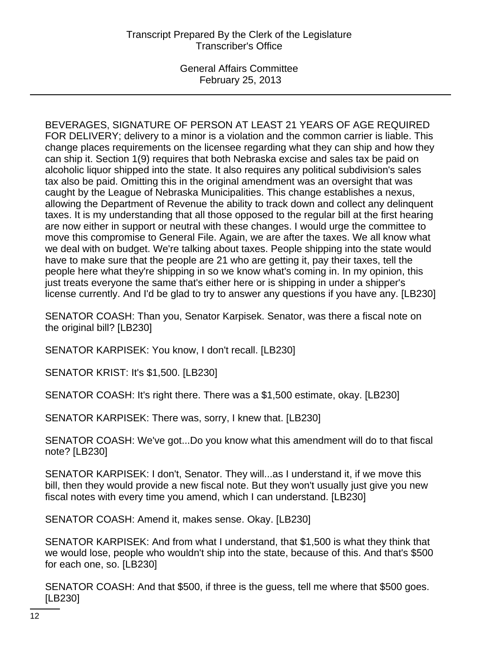General Affairs Committee February 25, 2013

BEVERAGES, SIGNATURE OF PERSON AT LEAST 21 YEARS OF AGE REQUIRED FOR DELIVERY; delivery to a minor is a violation and the common carrier is liable. This change places requirements on the licensee regarding what they can ship and how they can ship it. Section 1(9) requires that both Nebraska excise and sales tax be paid on alcoholic liquor shipped into the state. It also requires any political subdivision's sales tax also be paid. Omitting this in the original amendment was an oversight that was caught by the League of Nebraska Municipalities. This change establishes a nexus, allowing the Department of Revenue the ability to track down and collect any delinquent taxes. It is my understanding that all those opposed to the regular bill at the first hearing are now either in support or neutral with these changes. I would urge the committee to move this compromise to General File. Again, we are after the taxes. We all know what we deal with on budget. We're talking about taxes. People shipping into the state would have to make sure that the people are 21 who are getting it, pay their taxes, tell the people here what they're shipping in so we know what's coming in. In my opinion, this just treats everyone the same that's either here or is shipping in under a shipper's license currently. And I'd be glad to try to answer any questions if you have any. [LB230]

SENATOR COASH: Than you, Senator Karpisek. Senator, was there a fiscal note on the original bill? [LB230]

SENATOR KARPISEK: You know, I don't recall. [LB230]

SENATOR KRIST: It's \$1,500. [LB230]

SENATOR COASH: It's right there. There was a \$1,500 estimate, okay. [LB230]

SENATOR KARPISEK: There was, sorry, I knew that. [LB230]

SENATOR COASH: We've got...Do you know what this amendment will do to that fiscal note? [LB230]

SENATOR KARPISEK: I don't, Senator. They will...as I understand it, if we move this bill, then they would provide a new fiscal note. But they won't usually just give you new fiscal notes with every time you amend, which I can understand. [LB230]

SENATOR COASH: Amend it, makes sense. Okay. [LB230]

SENATOR KARPISEK: And from what I understand, that \$1,500 is what they think that we would lose, people who wouldn't ship into the state, because of this. And that's \$500 for each one, so. [LB230]

SENATOR COASH: And that \$500, if three is the guess, tell me where that \$500 goes. [LB230]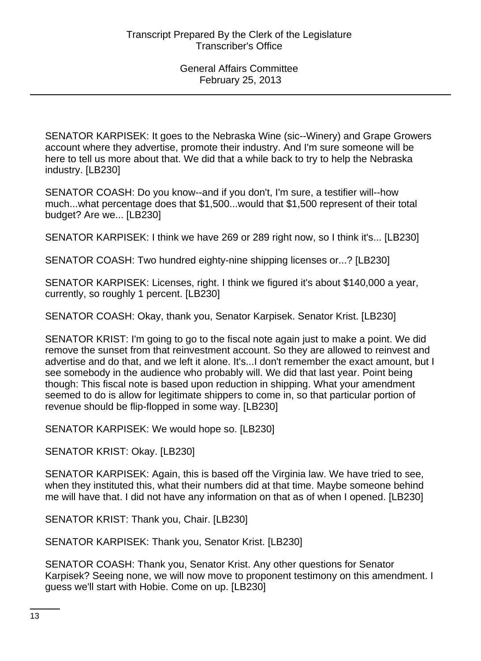SENATOR KARPISEK: It goes to the Nebraska Wine (sic--Winery) and Grape Growers account where they advertise, promote their industry. And I'm sure someone will be here to tell us more about that. We did that a while back to try to help the Nebraska industry. [LB230]

SENATOR COASH: Do you know--and if you don't, I'm sure, a testifier will--how much...what percentage does that \$1,500...would that \$1,500 represent of their total budget? Are we... [LB230]

SENATOR KARPISEK: I think we have 269 or 289 right now, so I think it's... [LB230]

SENATOR COASH: Two hundred eighty-nine shipping licenses or...? [LB230]

SENATOR KARPISEK: Licenses, right. I think we figured it's about \$140,000 a year, currently, so roughly 1 percent. [LB230]

SENATOR COASH: Okay, thank you, Senator Karpisek. Senator Krist. [LB230]

SENATOR KRIST: I'm going to go to the fiscal note again just to make a point. We did remove the sunset from that reinvestment account. So they are allowed to reinvest and advertise and do that, and we left it alone. It's...I don't remember the exact amount, but I see somebody in the audience who probably will. We did that last year. Point being though: This fiscal note is based upon reduction in shipping. What your amendment seemed to do is allow for legitimate shippers to come in, so that particular portion of revenue should be flip-flopped in some way. [LB230]

SENATOR KARPISEK: We would hope so. [LB230]

SENATOR KRIST: Okay. [LB230]

SENATOR KARPISEK: Again, this is based off the Virginia law. We have tried to see, when they instituted this, what their numbers did at that time. Maybe someone behind me will have that. I did not have any information on that as of when I opened. [LB230]

SENATOR KRIST: Thank you, Chair. [LB230]

SENATOR KARPISEK: Thank you, Senator Krist. [LB230]

SENATOR COASH: Thank you, Senator Krist. Any other questions for Senator Karpisek? Seeing none, we will now move to proponent testimony on this amendment. I guess we'll start with Hobie. Come on up. [LB230]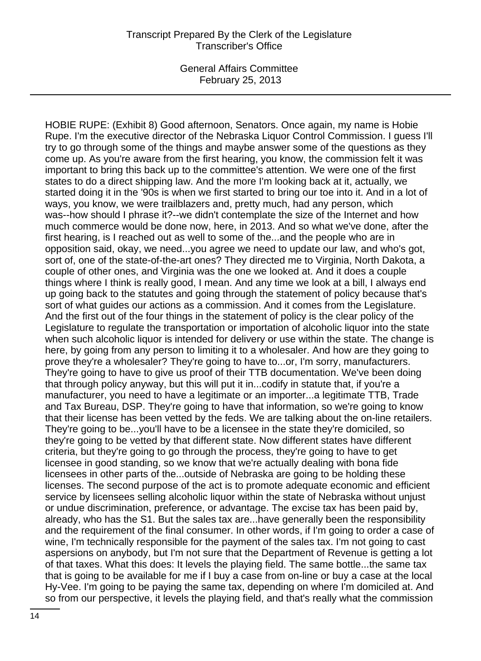General Affairs Committee February 25, 2013

HOBIE RUPE: (Exhibit 8) Good afternoon, Senators. Once again, my name is Hobie Rupe. I'm the executive director of the Nebraska Liquor Control Commission. I guess I'll try to go through some of the things and maybe answer some of the questions as they come up. As you're aware from the first hearing, you know, the commission felt it was important to bring this back up to the committee's attention. We were one of the first states to do a direct shipping law. And the more I'm looking back at it, actually, we started doing it in the '90s is when we first started to bring our toe into it. And in a lot of ways, you know, we were trailblazers and, pretty much, had any person, which was--how should I phrase it?--we didn't contemplate the size of the Internet and how much commerce would be done now, here, in 2013. And so what we've done, after the first hearing, is I reached out as well to some of the...and the people who are in opposition said, okay, we need...you agree we need to update our law, and who's got, sort of, one of the state-of-the-art ones? They directed me to Virginia, North Dakota, a couple of other ones, and Virginia was the one we looked at. And it does a couple things where I think is really good, I mean. And any time we look at a bill, I always end up going back to the statutes and going through the statement of policy because that's sort of what guides our actions as a commission. And it comes from the Legislature. And the first out of the four things in the statement of policy is the clear policy of the Legislature to regulate the transportation or importation of alcoholic liquor into the state when such alcoholic liquor is intended for delivery or use within the state. The change is here, by going from any person to limiting it to a wholesaler. And how are they going to prove they're a wholesaler? They're going to have to...or, I'm sorry, manufacturers. They're going to have to give us proof of their TTB documentation. We've been doing that through policy anyway, but this will put it in...codify in statute that, if you're a manufacturer, you need to have a legitimate or an importer...a legitimate TTB, Trade and Tax Bureau, DSP. They're going to have that information, so we're going to know that their license has been vetted by the feds. We are talking about the on-line retailers. They're going to be...you'll have to be a licensee in the state they're domiciled, so they're going to be vetted by that different state. Now different states have different criteria, but they're going to go through the process, they're going to have to get licensee in good standing, so we know that we're actually dealing with bona fide licensees in other parts of the...outside of Nebraska are going to be holding these licenses. The second purpose of the act is to promote adequate economic and efficient service by licensees selling alcoholic liquor within the state of Nebraska without unjust or undue discrimination, preference, or advantage. The excise tax has been paid by, already, who has the S1. But the sales tax are...have generally been the responsibility and the requirement of the final consumer. In other words, if I'm going to order a case of wine, I'm technically responsible for the payment of the sales tax. I'm not going to cast aspersions on anybody, but I'm not sure that the Department of Revenue is getting a lot of that taxes. What this does: It levels the playing field. The same bottle...the same tax that is going to be available for me if I buy a case from on-line or buy a case at the local Hy-Vee. I'm going to be paying the same tax, depending on where I'm domiciled at. And so from our perspective, it levels the playing field, and that's really what the commission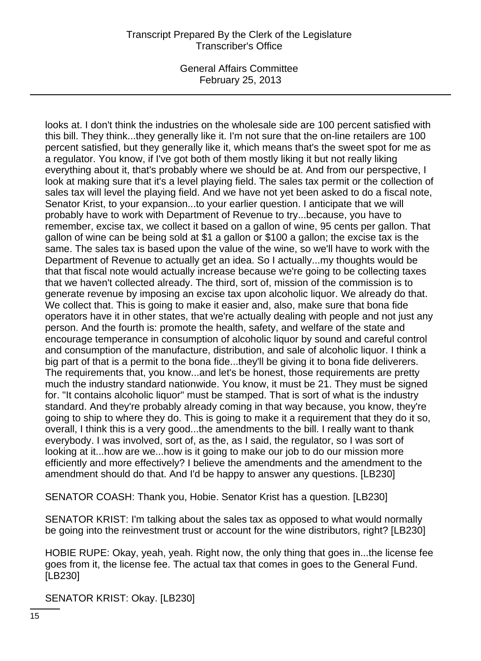General Affairs Committee February 25, 2013

looks at. I don't think the industries on the wholesale side are 100 percent satisfied with this bill. They think...they generally like it. I'm not sure that the on-line retailers are 100 percent satisfied, but they generally like it, which means that's the sweet spot for me as a regulator. You know, if I've got both of them mostly liking it but not really liking everything about it, that's probably where we should be at. And from our perspective, I look at making sure that it's a level playing field. The sales tax permit or the collection of sales tax will level the playing field. And we have not yet been asked to do a fiscal note, Senator Krist, to your expansion...to your earlier question. I anticipate that we will probably have to work with Department of Revenue to try...because, you have to remember, excise tax, we collect it based on a gallon of wine, 95 cents per gallon. That gallon of wine can be being sold at \$1 a gallon or \$100 a gallon; the excise tax is the same. The sales tax is based upon the value of the wine, so we'll have to work with the Department of Revenue to actually get an idea. So I actually...my thoughts would be that that fiscal note would actually increase because we're going to be collecting taxes that we haven't collected already. The third, sort of, mission of the commission is to generate revenue by imposing an excise tax upon alcoholic liquor. We already do that. We collect that. This is going to make it easier and, also, make sure that bona fide operators have it in other states, that we're actually dealing with people and not just any person. And the fourth is: promote the health, safety, and welfare of the state and encourage temperance in consumption of alcoholic liquor by sound and careful control and consumption of the manufacture, distribution, and sale of alcoholic liquor. I think a big part of that is a permit to the bona fide...they'll be giving it to bona fide deliverers. The requirements that, you know...and let's be honest, those requirements are pretty much the industry standard nationwide. You know, it must be 21. They must be signed for. "It contains alcoholic liquor" must be stamped. That is sort of what is the industry standard. And they're probably already coming in that way because, you know, they're going to ship to where they do. This is going to make it a requirement that they do it so, overall, I think this is a very good...the amendments to the bill. I really want to thank everybody. I was involved, sort of, as the, as I said, the regulator, so I was sort of looking at it...how are we...how is it going to make our job to do our mission more efficiently and more effectively? I believe the amendments and the amendment to the amendment should do that. And I'd be happy to answer any questions. [LB230]

SENATOR COASH: Thank you, Hobie. Senator Krist has a question. [LB230]

SENATOR KRIST: I'm talking about the sales tax as opposed to what would normally be going into the reinvestment trust or account for the wine distributors, right? [LB230]

HOBIE RUPE: Okay, yeah, yeah. Right now, the only thing that goes in...the license fee goes from it, the license fee. The actual tax that comes in goes to the General Fund. [LB230]

SENATOR KRIST: Okay. [LB230]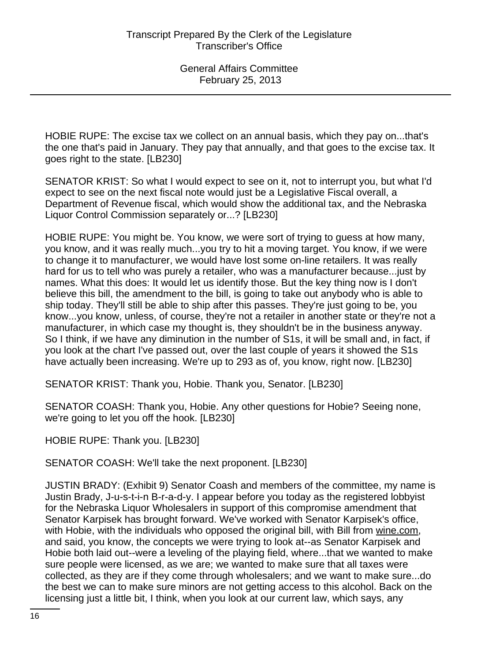HOBIE RUPE: The excise tax we collect on an annual basis, which they pay on...that's the one that's paid in January. They pay that annually, and that goes to the excise tax. It goes right to the state. [LB230]

SENATOR KRIST: So what I would expect to see on it, not to interrupt you, but what I'd expect to see on the next fiscal note would just be a Legislative Fiscal overall, a Department of Revenue fiscal, which would show the additional tax, and the Nebraska Liquor Control Commission separately or...? [LB230]

HOBIE RUPE: You might be. You know, we were sort of trying to guess at how many, you know, and it was really much...you try to hit a moving target. You know, if we were to change it to manufacturer, we would have lost some on-line retailers. It was really hard for us to tell who was purely a retailer, who was a manufacturer because...just by names. What this does: It would let us identify those. But the key thing now is I don't believe this bill, the amendment to the bill, is going to take out anybody who is able to ship today. They'll still be able to ship after this passes. They're just going to be, you know...you know, unless, of course, they're not a retailer in another state or they're not a manufacturer, in which case my thought is, they shouldn't be in the business anyway. So I think, if we have any diminution in the number of S1s, it will be small and, in fact, if you look at the chart I've passed out, over the last couple of years it showed the S1s have actually been increasing. We're up to 293 as of, you know, right now. [LB230]

SENATOR KRIST: Thank you, Hobie. Thank you, Senator. [LB230]

SENATOR COASH: Thank you, Hobie. Any other questions for Hobie? Seeing none, we're going to let you off the hook. [LB230]

HOBIE RUPE: Thank you. [LB230]

SENATOR COASH: We'll take the next proponent. [LB230]

JUSTIN BRADY: (Exhibit 9) Senator Coash and members of the committee, my name is Justin Brady, J-u-s-t-i-n B-r-a-d-y. I appear before you today as the registered lobbyist for the Nebraska Liquor Wholesalers in support of this compromise amendment that Senator Karpisek has brought forward. We've worked with Senator Karpisek's office, with Hobie, with the individuals who opposed the original bill, with Bill from wine.com, and said, you know, the concepts we were trying to look at--as Senator Karpisek and Hobie both laid out--were a leveling of the playing field, where...that we wanted to make sure people were licensed, as we are; we wanted to make sure that all taxes were collected, as they are if they come through wholesalers; and we want to make sure...do the best we can to make sure minors are not getting access to this alcohol. Back on the licensing just a little bit, I think, when you look at our current law, which says, any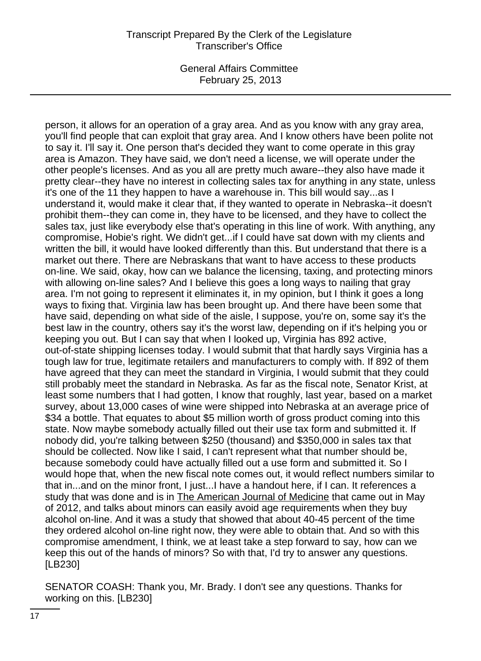General Affairs Committee February 25, 2013

person, it allows for an operation of a gray area. And as you know with any gray area, you'll find people that can exploit that gray area. And I know others have been polite not to say it. I'll say it. One person that's decided they want to come operate in this gray area is Amazon. They have said, we don't need a license, we will operate under the other people's licenses. And as you all are pretty much aware--they also have made it pretty clear--they have no interest in collecting sales tax for anything in any state, unless it's one of the 11 they happen to have a warehouse in. This bill would say...as I understand it, would make it clear that, if they wanted to operate in Nebraska--it doesn't prohibit them--they can come in, they have to be licensed, and they have to collect the sales tax, just like everybody else that's operating in this line of work. With anything, any compromise, Hobie's right. We didn't get...if I could have sat down with my clients and written the bill, it would have looked differently than this. But understand that there is a market out there. There are Nebraskans that want to have access to these products on-line. We said, okay, how can we balance the licensing, taxing, and protecting minors with allowing on-line sales? And I believe this goes a long ways to nailing that gray area. I'm not going to represent it eliminates it, in my opinion, but I think it goes a long ways to fixing that. Virginia law has been brought up. And there have been some that have said, depending on what side of the aisle, I suppose, you're on, some say it's the best law in the country, others say it's the worst law, depending on if it's helping you or keeping you out. But I can say that when I looked up, Virginia has 892 active, out-of-state shipping licenses today. I would submit that that hardly says Virginia has a tough law for true, legitimate retailers and manufacturers to comply with. If 892 of them have agreed that they can meet the standard in Virginia, I would submit that they could still probably meet the standard in Nebraska. As far as the fiscal note, Senator Krist, at least some numbers that I had gotten, I know that roughly, last year, based on a market survey, about 13,000 cases of wine were shipped into Nebraska at an average price of \$34 a bottle. That equates to about \$5 million worth of gross product coming into this state. Now maybe somebody actually filled out their use tax form and submitted it. If nobody did, you're talking between \$250 (thousand) and \$350,000 in sales tax that should be collected. Now like I said, I can't represent what that number should be, because somebody could have actually filled out a use form and submitted it. So I would hope that, when the new fiscal note comes out, it would reflect numbers similar to that in...and on the minor front, I just...I have a handout here, if I can. It references a study that was done and is in The American Journal of Medicine that came out in May of 2012, and talks about minors can easily avoid age requirements when they buy alcohol on-line. And it was a study that showed that about 40-45 percent of the time they ordered alcohol on-line right now, they were able to obtain that. And so with this compromise amendment, I think, we at least take a step forward to say, how can we keep this out of the hands of minors? So with that, I'd try to answer any questions. [LB230]

SENATOR COASH: Thank you, Mr. Brady. I don't see any questions. Thanks for working on this. [LB230]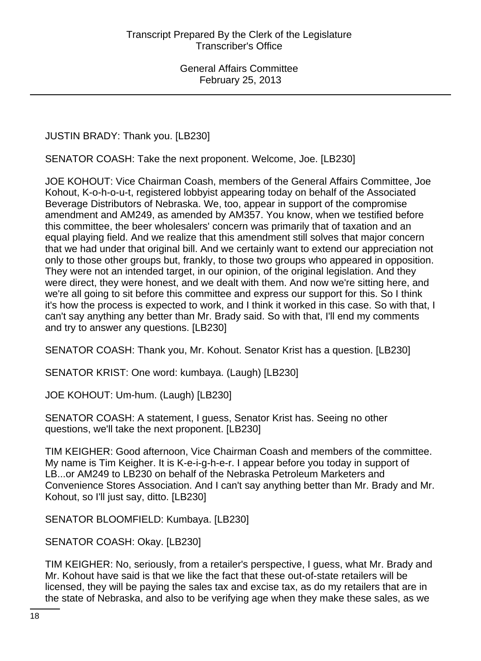JUSTIN BRADY: Thank you. [LB230]

SENATOR COASH: Take the next proponent. Welcome, Joe. [LB230]

JOE KOHOUT: Vice Chairman Coash, members of the General Affairs Committee, Joe Kohout, K-o-h-o-u-t, registered lobbyist appearing today on behalf of the Associated Beverage Distributors of Nebraska. We, too, appear in support of the compromise amendment and AM249, as amended by AM357. You know, when we testified before this committee, the beer wholesalers' concern was primarily that of taxation and an equal playing field. And we realize that this amendment still solves that major concern that we had under that original bill. And we certainly want to extend our appreciation not only to those other groups but, frankly, to those two groups who appeared in opposition. They were not an intended target, in our opinion, of the original legislation. And they were direct, they were honest, and we dealt with them. And now we're sitting here, and we're all going to sit before this committee and express our support for this. So I think it's how the process is expected to work, and I think it worked in this case. So with that, I can't say anything any better than Mr. Brady said. So with that, I'll end my comments and try to answer any questions. [LB230]

SENATOR COASH: Thank you, Mr. Kohout. Senator Krist has a question. [LB230]

SENATOR KRIST: One word: kumbaya. (Laugh) [LB230]

JOE KOHOUT: Um-hum. (Laugh) [LB230]

SENATOR COASH: A statement, I guess, Senator Krist has. Seeing no other questions, we'll take the next proponent. [LB230]

TIM KEIGHER: Good afternoon, Vice Chairman Coash and members of the committee. My name is Tim Keigher. It is K-e-i-g-h-e-r. I appear before you today in support of LB...or AM249 to LB230 on behalf of the Nebraska Petroleum Marketers and Convenience Stores Association. And I can't say anything better than Mr. Brady and Mr. Kohout, so I'll just say, ditto. [LB230]

SENATOR BLOOMFIELD: Kumbaya. [LB230]

SENATOR COASH: Okay. [LB230]

TIM KEIGHER: No, seriously, from a retailer's perspective, I guess, what Mr. Brady and Mr. Kohout have said is that we like the fact that these out-of-state retailers will be licensed, they will be paying the sales tax and excise tax, as do my retailers that are in the state of Nebraska, and also to be verifying age when they make these sales, as we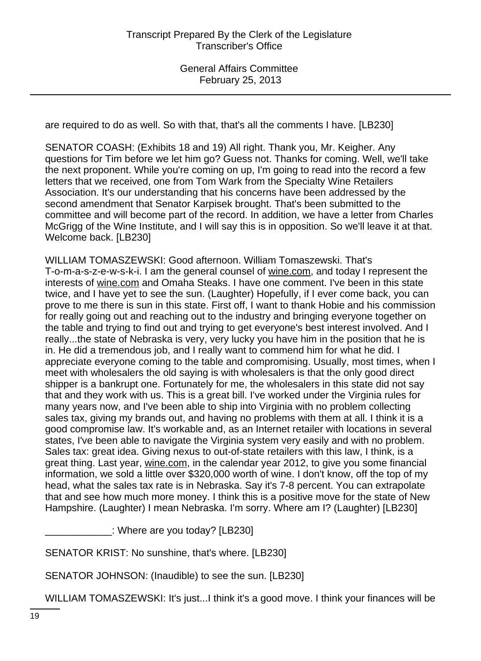are required to do as well. So with that, that's all the comments I have. [LB230]

SENATOR COASH: (Exhibits 18 and 19) All right. Thank you, Mr. Keigher. Any questions for Tim before we let him go? Guess not. Thanks for coming. Well, we'll take the next proponent. While you're coming on up, I'm going to read into the record a few letters that we received, one from Tom Wark from the Specialty Wine Retailers Association. It's our understanding that his concerns have been addressed by the second amendment that Senator Karpisek brought. That's been submitted to the committee and will become part of the record. In addition, we have a letter from Charles McGrigg of the Wine Institute, and I will say this is in opposition. So we'll leave it at that. Welcome back. [LB230]

WILLIAM TOMASZEWSKI: Good afternoon. William Tomaszewski. That's T-o-m-a-s-z-e-w-s-k-i. I am the general counsel of wine.com, and today I represent the interests of wine.com and Omaha Steaks. I have one comment. I've been in this state twice, and I have yet to see the sun. (Laughter) Hopefully, if I ever come back, you can prove to me there is sun in this state. First off, I want to thank Hobie and his commission for really going out and reaching out to the industry and bringing everyone together on the table and trying to find out and trying to get everyone's best interest involved. And I really...the state of Nebraska is very, very lucky you have him in the position that he is in. He did a tremendous job, and I really want to commend him for what he did. I appreciate everyone coming to the table and compromising. Usually, most times, when I meet with wholesalers the old saying is with wholesalers is that the only good direct shipper is a bankrupt one. Fortunately for me, the wholesalers in this state did not say that and they work with us. This is a great bill. I've worked under the Virginia rules for many years now, and I've been able to ship into Virginia with no problem collecting sales tax, giving my brands out, and having no problems with them at all. I think it is a good compromise law. It's workable and, as an Internet retailer with locations in several states, I've been able to navigate the Virginia system very easily and with no problem. Sales tax: great idea. Giving nexus to out-of-state retailers with this law, I think, is a great thing. Last year, wine.com, in the calendar year 2012, to give you some financial information, we sold a little over \$320,000 worth of wine. I don't know, off the top of my head, what the sales tax rate is in Nebraska. Say it's 7-8 percent. You can extrapolate that and see how much more money. I think this is a positive move for the state of New Hampshire. (Laughter) I mean Nebraska. I'm sorry. Where am I? (Laughter) [LB230]

\_\_\_\_\_\_\_\_\_\_\_\_: Where are you today? [LB230]

SENATOR KRIST: No sunshine, that's where. [LB230]

SENATOR JOHNSON: (Inaudible) to see the sun. [LB230]

WILLIAM TOMASZEWSKI: It's just...I think it's a good move. I think your finances will be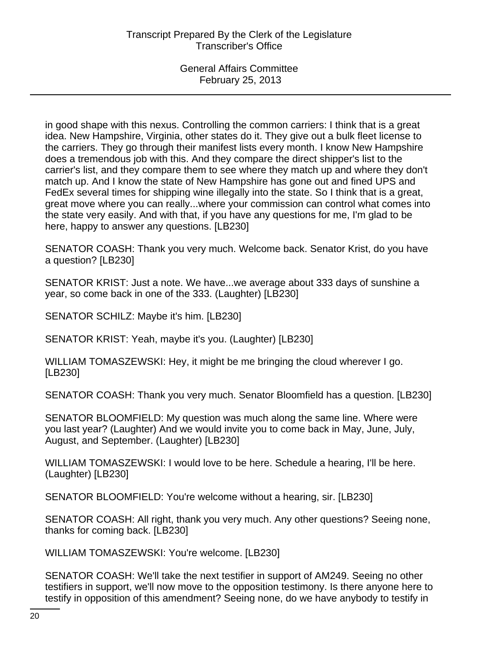in good shape with this nexus. Controlling the common carriers: I think that is a great idea. New Hampshire, Virginia, other states do it. They give out a bulk fleet license to the carriers. They go through their manifest lists every month. I know New Hampshire does a tremendous job with this. And they compare the direct shipper's list to the carrier's list, and they compare them to see where they match up and where they don't match up. And I know the state of New Hampshire has gone out and fined UPS and FedEx several times for shipping wine illegally into the state. So I think that is a great, great move where you can really...where your commission can control what comes into the state very easily. And with that, if you have any questions for me, I'm glad to be here, happy to answer any questions. [LB230]

SENATOR COASH: Thank you very much. Welcome back. Senator Krist, do you have a question? [LB230]

SENATOR KRIST: Just a note. We have...we average about 333 days of sunshine a year, so come back in one of the 333. (Laughter) [LB230]

SENATOR SCHILZ: Maybe it's him. [LB230]

SENATOR KRIST: Yeah, maybe it's you. (Laughter) [LB230]

WILLIAM TOMASZEWSKI: Hey, it might be me bringing the cloud wherever I go. [LB230]

SENATOR COASH: Thank you very much. Senator Bloomfield has a question. [LB230]

SENATOR BLOOMFIELD: My question was much along the same line. Where were you last year? (Laughter) And we would invite you to come back in May, June, July, August, and September. (Laughter) [LB230]

WILLIAM TOMASZEWSKI: I would love to be here. Schedule a hearing, I'll be here. (Laughter) [LB230]

SENATOR BLOOMFIELD: You're welcome without a hearing, sir. [LB230]

SENATOR COASH: All right, thank you very much. Any other questions? Seeing none, thanks for coming back. [LB230]

WILLIAM TOMASZEWSKI: You're welcome. [LB230]

SENATOR COASH: We'll take the next testifier in support of AM249. Seeing no other testifiers in support, we'll now move to the opposition testimony. Is there anyone here to testify in opposition of this amendment? Seeing none, do we have anybody to testify in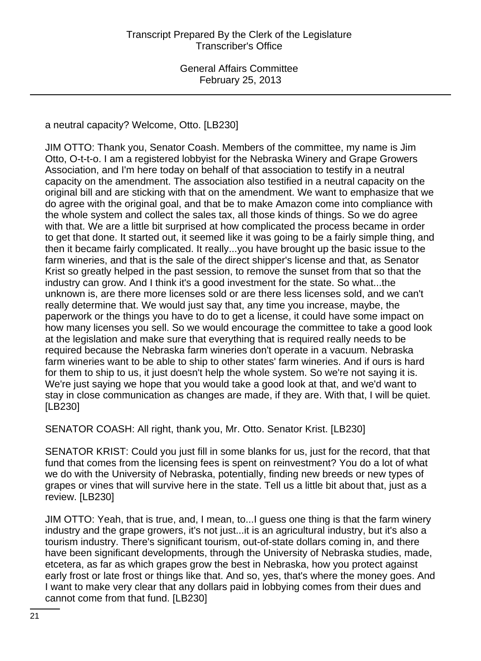a neutral capacity? Welcome, Otto. [LB230]

JIM OTTO: Thank you, Senator Coash. Members of the committee, my name is Jim Otto, O-t-t-o. I am a registered lobbyist for the Nebraska Winery and Grape Growers Association, and I'm here today on behalf of that association to testify in a neutral capacity on the amendment. The association also testified in a neutral capacity on the original bill and are sticking with that on the amendment. We want to emphasize that we do agree with the original goal, and that be to make Amazon come into compliance with the whole system and collect the sales tax, all those kinds of things. So we do agree with that. We are a little bit surprised at how complicated the process became in order to get that done. It started out, it seemed like it was going to be a fairly simple thing, and then it became fairly complicated. It really...you have brought up the basic issue to the farm wineries, and that is the sale of the direct shipper's license and that, as Senator Krist so greatly helped in the past session, to remove the sunset from that so that the industry can grow. And I think it's a good investment for the state. So what...the unknown is, are there more licenses sold or are there less licenses sold, and we can't really determine that. We would just say that, any time you increase, maybe, the paperwork or the things you have to do to get a license, it could have some impact on how many licenses you sell. So we would encourage the committee to take a good look at the legislation and make sure that everything that is required really needs to be required because the Nebraska farm wineries don't operate in a vacuum. Nebraska farm wineries want to be able to ship to other states' farm wineries. And if ours is hard for them to ship to us, it just doesn't help the whole system. So we're not saying it is. We're just saying we hope that you would take a good look at that, and we'd want to stay in close communication as changes are made, if they are. With that, I will be quiet. [LB230]

SENATOR COASH: All right, thank you, Mr. Otto. Senator Krist. [LB230]

SENATOR KRIST: Could you just fill in some blanks for us, just for the record, that that fund that comes from the licensing fees is spent on reinvestment? You do a lot of what we do with the University of Nebraska, potentially, finding new breeds or new types of grapes or vines that will survive here in the state. Tell us a little bit about that, just as a review. [LB230]

JIM OTTO: Yeah, that is true, and, I mean, to...I guess one thing is that the farm winery industry and the grape growers, it's not just...it is an agricultural industry, but it's also a tourism industry. There's significant tourism, out-of-state dollars coming in, and there have been significant developments, through the University of Nebraska studies, made, etcetera, as far as which grapes grow the best in Nebraska, how you protect against early frost or late frost or things like that. And so, yes, that's where the money goes. And I want to make very clear that any dollars paid in lobbying comes from their dues and cannot come from that fund. [LB230]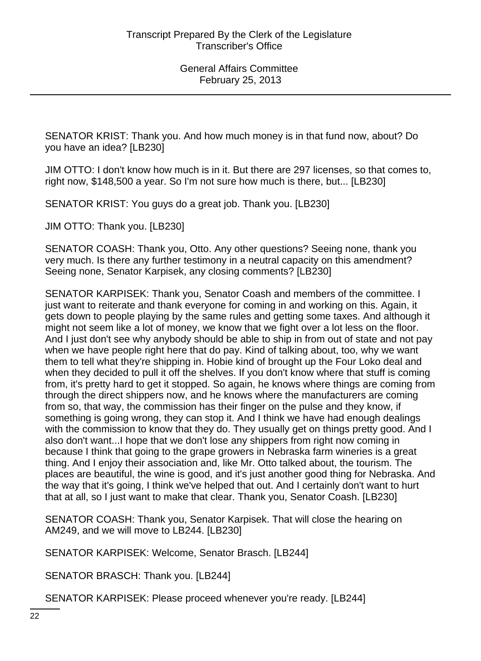SENATOR KRIST: Thank you. And how much money is in that fund now, about? Do you have an idea? [LB230]

JIM OTTO: I don't know how much is in it. But there are 297 licenses, so that comes to, right now, \$148,500 a year. So I'm not sure how much is there, but... [LB230]

SENATOR KRIST: You guys do a great job. Thank you. [LB230]

JIM OTTO: Thank you. [LB230]

SENATOR COASH: Thank you, Otto. Any other questions? Seeing none, thank you very much. Is there any further testimony in a neutral capacity on this amendment? Seeing none, Senator Karpisek, any closing comments? [LB230]

SENATOR KARPISEK: Thank you, Senator Coash and members of the committee. I just want to reiterate and thank everyone for coming in and working on this. Again, it gets down to people playing by the same rules and getting some taxes. And although it might not seem like a lot of money, we know that we fight over a lot less on the floor. And I just don't see why anybody should be able to ship in from out of state and not pay when we have people right here that do pay. Kind of talking about, too, why we want them to tell what they're shipping in. Hobie kind of brought up the Four Loko deal and when they decided to pull it off the shelves. If you don't know where that stuff is coming from, it's pretty hard to get it stopped. So again, he knows where things are coming from through the direct shippers now, and he knows where the manufacturers are coming from so, that way, the commission has their finger on the pulse and they know, if something is going wrong, they can stop it. And I think we have had enough dealings with the commission to know that they do. They usually get on things pretty good. And I also don't want...I hope that we don't lose any shippers from right now coming in because I think that going to the grape growers in Nebraska farm wineries is a great thing. And I enjoy their association and, like Mr. Otto talked about, the tourism. The places are beautiful, the wine is good, and it's just another good thing for Nebraska. And the way that it's going, I think we've helped that out. And I certainly don't want to hurt that at all, so I just want to make that clear. Thank you, Senator Coash. [LB230]

SENATOR COASH: Thank you, Senator Karpisek. That will close the hearing on AM249, and we will move to LB244. [LB230]

SENATOR KARPISEK: Welcome, Senator Brasch. [LB244]

SENATOR BRASCH: Thank you. [LB244]

SENATOR KARPISEK: Please proceed whenever you're ready. [LB244]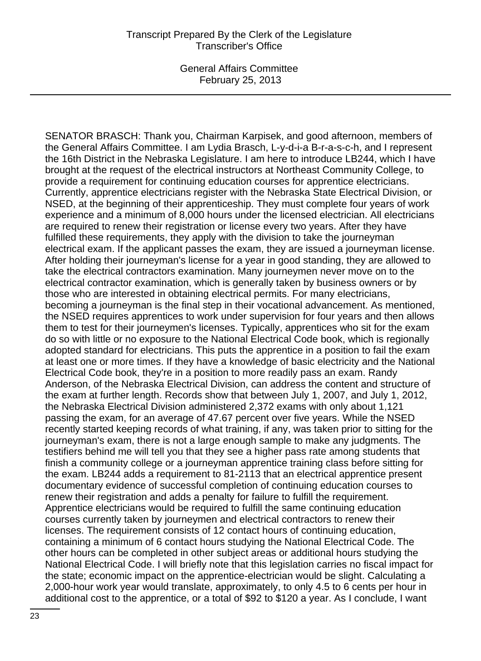SENATOR BRASCH: Thank you, Chairman Karpisek, and good afternoon, members of the General Affairs Committee. I am Lydia Brasch, L-y-d-i-a B-r-a-s-c-h, and I represent the 16th District in the Nebraska Legislature. I am here to introduce LB244, which I have brought at the request of the electrical instructors at Northeast Community College, to provide a requirement for continuing education courses for apprentice electricians. Currently, apprentice electricians register with the Nebraska State Electrical Division, or NSED, at the beginning of their apprenticeship. They must complete four years of work experience and a minimum of 8,000 hours under the licensed electrician. All electricians are required to renew their registration or license every two years. After they have fulfilled these requirements, they apply with the division to take the journeyman electrical exam. If the applicant passes the exam, they are issued a journeyman license. After holding their journeyman's license for a year in good standing, they are allowed to take the electrical contractors examination. Many journeymen never move on to the electrical contractor examination, which is generally taken by business owners or by those who are interested in obtaining electrical permits. For many electricians, becoming a journeyman is the final step in their vocational advancement. As mentioned, the NSED requires apprentices to work under supervision for four years and then allows them to test for their journeymen's licenses. Typically, apprentices who sit for the exam do so with little or no exposure to the National Electrical Code book, which is regionally adopted standard for electricians. This puts the apprentice in a position to fail the exam at least one or more times. If they have a knowledge of basic electricity and the National Electrical Code book, they're in a position to more readily pass an exam. Randy Anderson, of the Nebraska Electrical Division, can address the content and structure of the exam at further length. Records show that between July 1, 2007, and July 1, 2012, the Nebraska Electrical Division administered 2,372 exams with only about 1,121 passing the exam, for an average of 47.67 percent over five years. While the NSED recently started keeping records of what training, if any, was taken prior to sitting for the journeyman's exam, there is not a large enough sample to make any judgments. The testifiers behind me will tell you that they see a higher pass rate among students that finish a community college or a journeyman apprentice training class before sitting for the exam. LB244 adds a requirement to 81-2113 that an electrical apprentice present documentary evidence of successful completion of continuing education courses to renew their registration and adds a penalty for failure to fulfill the requirement. Apprentice electricians would be required to fulfill the same continuing education courses currently taken by journeymen and electrical contractors to renew their licenses. The requirement consists of 12 contact hours of continuing education, containing a minimum of 6 contact hours studying the National Electrical Code. The other hours can be completed in other subject areas or additional hours studying the National Electrical Code. I will briefly note that this legislation carries no fiscal impact for the state; economic impact on the apprentice-electrician would be slight. Calculating a 2,000-hour work year would translate, approximately, to only 4.5 to 6 cents per hour in additional cost to the apprentice, or a total of \$92 to \$120 a year. As I conclude, I want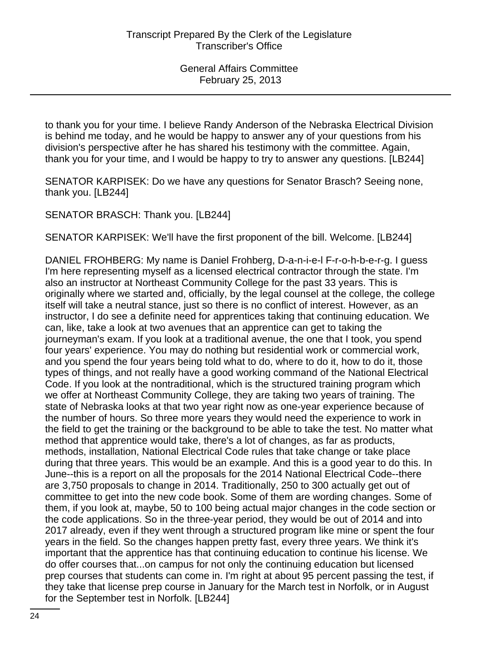to thank you for your time. I believe Randy Anderson of the Nebraska Electrical Division is behind me today, and he would be happy to answer any of your questions from his division's perspective after he has shared his testimony with the committee. Again, thank you for your time, and I would be happy to try to answer any questions. [LB244]

SENATOR KARPISEK: Do we have any questions for Senator Brasch? Seeing none, thank you. [LB244]

SENATOR BRASCH: Thank you. [LB244]

SENATOR KARPISEK: We'll have the first proponent of the bill. Welcome. [LB244]

DANIEL FROHBERG: My name is Daniel Frohberg, D-a-n-i-e-l F-r-o-h-b-e-r-g. I guess I'm here representing myself as a licensed electrical contractor through the state. I'm also an instructor at Northeast Community College for the past 33 years. This is originally where we started and, officially, by the legal counsel at the college, the college itself will take a neutral stance, just so there is no conflict of interest. However, as an instructor, I do see a definite need for apprentices taking that continuing education. We can, like, take a look at two avenues that an apprentice can get to taking the journeyman's exam. If you look at a traditional avenue, the one that I took, you spend four years' experience. You may do nothing but residential work or commercial work, and you spend the four years being told what to do, where to do it, how to do it, those types of things, and not really have a good working command of the National Electrical Code. If you look at the nontraditional, which is the structured training program which we offer at Northeast Community College, they are taking two years of training. The state of Nebraska looks at that two year right now as one-year experience because of the number of hours. So three more years they would need the experience to work in the field to get the training or the background to be able to take the test. No matter what method that apprentice would take, there's a lot of changes, as far as products, methods, installation, National Electrical Code rules that take change or take place during that three years. This would be an example. And this is a good year to do this. In June--this is a report on all the proposals for the 2014 National Electrical Code--there are 3,750 proposals to change in 2014. Traditionally, 250 to 300 actually get out of committee to get into the new code book. Some of them are wording changes. Some of them, if you look at, maybe, 50 to 100 being actual major changes in the code section or the code applications. So in the three-year period, they would be out of 2014 and into 2017 already, even if they went through a structured program like mine or spent the four years in the field. So the changes happen pretty fast, every three years. We think it's important that the apprentice has that continuing education to continue his license. We do offer courses that...on campus for not only the continuing education but licensed prep courses that students can come in. I'm right at about 95 percent passing the test, if they take that license prep course in January for the March test in Norfolk, or in August for the September test in Norfolk. [LB244]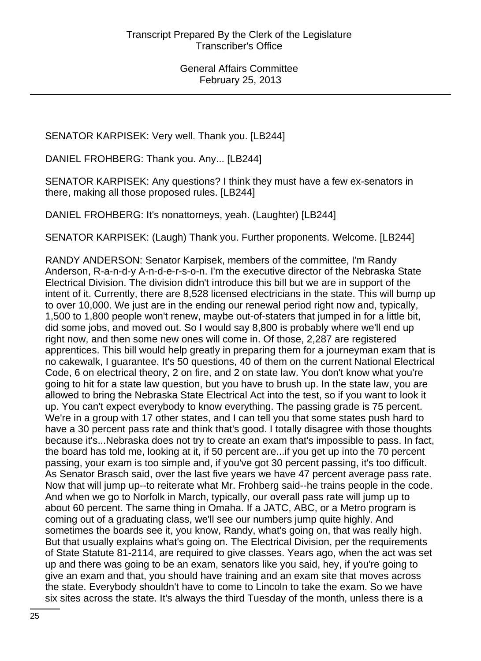SENATOR KARPISEK: Very well. Thank you. [LB244]

DANIEL FROHBERG: Thank you. Any... [LB244]

SENATOR KARPISEK: Any questions? I think they must have a few ex-senators in there, making all those proposed rules. [LB244]

DANIEL FROHBERG: It's nonattorneys, yeah. (Laughter) [LB244]

SENATOR KARPISEK: (Laugh) Thank you. Further proponents. Welcome. [LB244]

RANDY ANDERSON: Senator Karpisek, members of the committee, I'm Randy Anderson, R-a-n-d-y A-n-d-e-r-s-o-n. I'm the executive director of the Nebraska State Electrical Division. The division didn't introduce this bill but we are in support of the intent of it. Currently, there are 8,528 licensed electricians in the state. This will bump up to over 10,000. We just are in the ending our renewal period right now and, typically, 1,500 to 1,800 people won't renew, maybe out-of-staters that jumped in for a little bit, did some jobs, and moved out. So I would say 8,800 is probably where we'll end up right now, and then some new ones will come in. Of those, 2,287 are registered apprentices. This bill would help greatly in preparing them for a journeyman exam that is no cakewalk, I guarantee. It's 50 questions, 40 of them on the current National Electrical Code, 6 on electrical theory, 2 on fire, and 2 on state law. You don't know what you're going to hit for a state law question, but you have to brush up. In the state law, you are allowed to bring the Nebraska State Electrical Act into the test, so if you want to look it up. You can't expect everybody to know everything. The passing grade is 75 percent. We're in a group with 17 other states, and I can tell you that some states push hard to have a 30 percent pass rate and think that's good. I totally disagree with those thoughts because it's...Nebraska does not try to create an exam that's impossible to pass. In fact, the board has told me, looking at it, if 50 percent are...if you get up into the 70 percent passing, your exam is too simple and, if you've got 30 percent passing, it's too difficult. As Senator Brasch said, over the last five years we have 47 percent average pass rate. Now that will jump up--to reiterate what Mr. Frohberg said--he trains people in the code. And when we go to Norfolk in March, typically, our overall pass rate will jump up to about 60 percent. The same thing in Omaha. If a JATC, ABC, or a Metro program is coming out of a graduating class, we'll see our numbers jump quite highly. And sometimes the boards see it, you know, Randy, what's going on, that was really high. But that usually explains what's going on. The Electrical Division, per the requirements of State Statute 81-2114, are required to give classes. Years ago, when the act was set up and there was going to be an exam, senators like you said, hey, if you're going to give an exam and that, you should have training and an exam site that moves across the state. Everybody shouldn't have to come to Lincoln to take the exam. So we have six sites across the state. It's always the third Tuesday of the month, unless there is a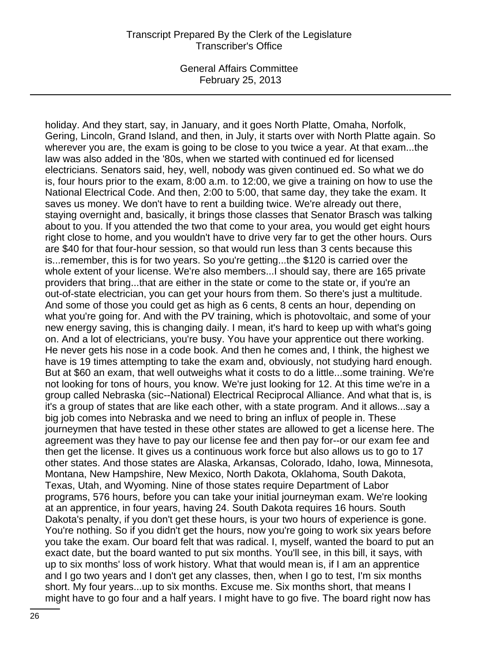General Affairs Committee February 25, 2013

holiday. And they start, say, in January, and it goes North Platte, Omaha, Norfolk, Gering, Lincoln, Grand Island, and then, in July, it starts over with North Platte again. So wherever you are, the exam is going to be close to you twice a year. At that exam...the law was also added in the '80s, when we started with continued ed for licensed electricians. Senators said, hey, well, nobody was given continued ed. So what we do is, four hours prior to the exam, 8:00 a.m. to 12:00, we give a training on how to use the National Electrical Code. And then, 2:00 to 5:00, that same day, they take the exam. It saves us money. We don't have to rent a building twice. We're already out there, staying overnight and, basically, it brings those classes that Senator Brasch was talking about to you. If you attended the two that come to your area, you would get eight hours right close to home, and you wouldn't have to drive very far to get the other hours. Ours are \$40 for that four-hour session, so that would run less than 3 cents because this is...remember, this is for two years. So you're getting...the \$120 is carried over the whole extent of your license. We're also members...I should say, there are 165 private providers that bring...that are either in the state or come to the state or, if you're an out-of-state electrician, you can get your hours from them. So there's just a multitude. And some of those you could get as high as 6 cents, 8 cents an hour, depending on what you're going for. And with the PV training, which is photovoltaic, and some of your new energy saving, this is changing daily. I mean, it's hard to keep up with what's going on. And a lot of electricians, you're busy. You have your apprentice out there working. He never gets his nose in a code book. And then he comes and, I think, the highest we have is 19 times attempting to take the exam and, obviously, not studying hard enough. But at \$60 an exam, that well outweighs what it costs to do a little...some training. We're not looking for tons of hours, you know. We're just looking for 12. At this time we're in a group called Nebraska (sic--National) Electrical Reciprocal Alliance. And what that is, is it's a group of states that are like each other, with a state program. And it allows...say a big job comes into Nebraska and we need to bring an influx of people in. These journeymen that have tested in these other states are allowed to get a license here. The agreement was they have to pay our license fee and then pay for--or our exam fee and then get the license. It gives us a continuous work force but also allows us to go to 17 other states. And those states are Alaska, Arkansas, Colorado, Idaho, Iowa, Minnesota, Montana, New Hampshire, New Mexico, North Dakota, Oklahoma, South Dakota, Texas, Utah, and Wyoming. Nine of those states require Department of Labor programs, 576 hours, before you can take your initial journeyman exam. We're looking at an apprentice, in four years, having 24. South Dakota requires 16 hours. South Dakota's penalty, if you don't get these hours, is your two hours of experience is gone. You're nothing. So if you didn't get the hours, now you're going to work six years before you take the exam. Our board felt that was radical. I, myself, wanted the board to put an exact date, but the board wanted to put six months. You'll see, in this bill, it says, with up to six months' loss of work history. What that would mean is, if I am an apprentice and I go two years and I don't get any classes, then, when I go to test, I'm six months short. My four years...up to six months. Excuse me. Six months short, that means I might have to go four and a half years. I might have to go five. The board right now has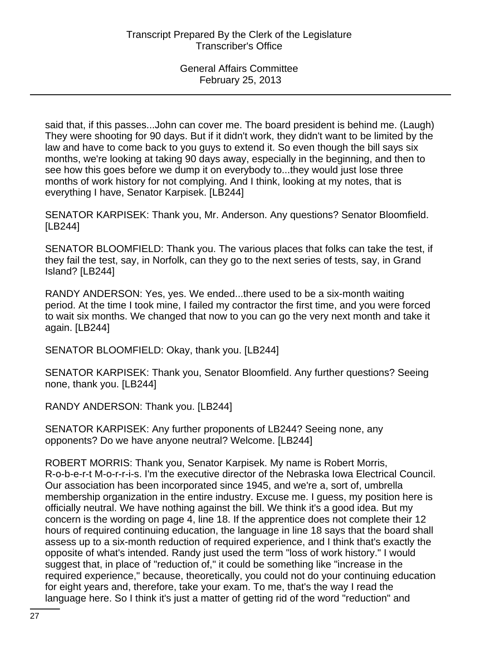said that, if this passes...John can cover me. The board president is behind me. (Laugh) They were shooting for 90 days. But if it didn't work, they didn't want to be limited by the law and have to come back to you guys to extend it. So even though the bill says six months, we're looking at taking 90 days away, especially in the beginning, and then to see how this goes before we dump it on everybody to...they would just lose three months of work history for not complying. And I think, looking at my notes, that is everything I have, Senator Karpisek. [LB244]

SENATOR KARPISEK: Thank you, Mr. Anderson. Any questions? Senator Bloomfield. [LB244]

SENATOR BLOOMFIELD: Thank you. The various places that folks can take the test, if they fail the test, say, in Norfolk, can they go to the next series of tests, say, in Grand Island? [LB244]

RANDY ANDERSON: Yes, yes. We ended...there used to be a six-month waiting period. At the time I took mine, I failed my contractor the first time, and you were forced to wait six months. We changed that now to you can go the very next month and take it again. [LB244]

SENATOR BLOOMFIELD: Okay, thank you. [LB244]

SENATOR KARPISEK: Thank you, Senator Bloomfield. Any further questions? Seeing none, thank you. [LB244]

RANDY ANDERSON: Thank you. [LB244]

SENATOR KARPISEK: Any further proponents of LB244? Seeing none, any opponents? Do we have anyone neutral? Welcome. [LB244]

ROBERT MORRIS: Thank you, Senator Karpisek. My name is Robert Morris, R-o-b-e-r-t M-o-r-r-i-s. I'm the executive director of the Nebraska Iowa Electrical Council. Our association has been incorporated since 1945, and we're a, sort of, umbrella membership organization in the entire industry. Excuse me. I guess, my position here is officially neutral. We have nothing against the bill. We think it's a good idea. But my concern is the wording on page 4, line 18. If the apprentice does not complete their 12 hours of required continuing education, the language in line 18 says that the board shall assess up to a six-month reduction of required experience, and I think that's exactly the opposite of what's intended. Randy just used the term "loss of work history." I would suggest that, in place of "reduction of," it could be something like "increase in the required experience," because, theoretically, you could not do your continuing education for eight years and, therefore, take your exam. To me, that's the way I read the language here. So I think it's just a matter of getting rid of the word "reduction" and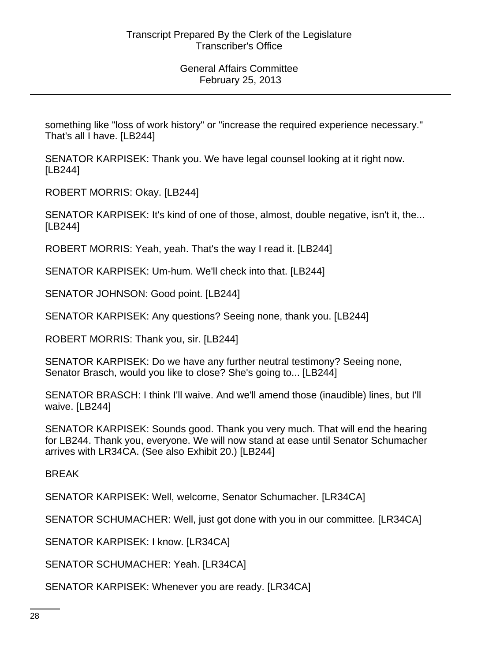something like "loss of work history" or "increase the required experience necessary." That's all I have. [LB244]

SENATOR KARPISEK: Thank you. We have legal counsel looking at it right now. [LB244]

ROBERT MORRIS: Okay. [LB244]

SENATOR KARPISEK: It's kind of one of those, almost, double negative, isn't it, the... [LB244]

ROBERT MORRIS: Yeah, yeah. That's the way I read it. [LB244]

SENATOR KARPISEK: Um-hum. We'll check into that. [LB244]

SENATOR JOHNSON: Good point. [LB244]

SENATOR KARPISEK: Any questions? Seeing none, thank you. [LB244]

ROBERT MORRIS: Thank you, sir. [LB244]

SENATOR KARPISEK: Do we have any further neutral testimony? Seeing none, Senator Brasch, would you like to close? She's going to... [LB244]

SENATOR BRASCH: I think I'll waive. And we'll amend those (inaudible) lines, but I'll waive. [LB244]

SENATOR KARPISEK: Sounds good. Thank you very much. That will end the hearing for LB244. Thank you, everyone. We will now stand at ease until Senator Schumacher arrives with LR34CA. (See also Exhibit 20.) [LB244]

BREAK

SENATOR KARPISEK: Well, welcome, Senator Schumacher. [LR34CA]

SENATOR SCHUMACHER: Well, just got done with you in our committee. [LR34CA]

SENATOR KARPISEK: I know. [LR34CA]

SENATOR SCHUMACHER: Yeah. [LR34CA]

SENATOR KARPISEK: Whenever you are ready. [LR34CA]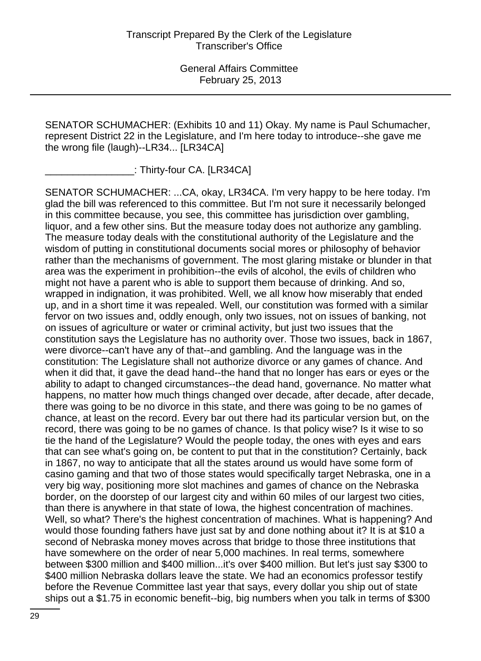SENATOR SCHUMACHER: (Exhibits 10 and 11) Okay. My name is Paul Schumacher, represent District 22 in the Legislature, and I'm here today to introduce--she gave me the wrong file (laugh)--LR34... [LR34CA]

\_\_\_\_\_\_\_\_\_\_\_\_\_\_\_\_: Thirty-four CA. [LR34CA]

SENATOR SCHUMACHER: ...CA, okay, LR34CA. I'm very happy to be here today. I'm glad the bill was referenced to this committee. But I'm not sure it necessarily belonged in this committee because, you see, this committee has jurisdiction over gambling, liquor, and a few other sins. But the measure today does not authorize any gambling. The measure today deals with the constitutional authority of the Legislature and the wisdom of putting in constitutional documents social mores or philosophy of behavior rather than the mechanisms of government. The most glaring mistake or blunder in that area was the experiment in prohibition--the evils of alcohol, the evils of children who might not have a parent who is able to support them because of drinking. And so, wrapped in indignation, it was prohibited. Well, we all know how miserably that ended up, and in a short time it was repealed. Well, our constitution was formed with a similar fervor on two issues and, oddly enough, only two issues, not on issues of banking, not on issues of agriculture or water or criminal activity, but just two issues that the constitution says the Legislature has no authority over. Those two issues, back in 1867, were divorce--can't have any of that--and gambling. And the language was in the constitution: The Legislature shall not authorize divorce or any games of chance. And when it did that, it gave the dead hand--the hand that no longer has ears or eyes or the ability to adapt to changed circumstances--the dead hand, governance. No matter what happens, no matter how much things changed over decade, after decade, after decade, there was going to be no divorce in this state, and there was going to be no games of chance, at least on the record. Every bar out there had its particular version but, on the record, there was going to be no games of chance. Is that policy wise? Is it wise to so tie the hand of the Legislature? Would the people today, the ones with eyes and ears that can see what's going on, be content to put that in the constitution? Certainly, back in 1867, no way to anticipate that all the states around us would have some form of casino gaming and that two of those states would specifically target Nebraska, one in a very big way, positioning more slot machines and games of chance on the Nebraska border, on the doorstep of our largest city and within 60 miles of our largest two cities, than there is anywhere in that state of Iowa, the highest concentration of machines. Well, so what? There's the highest concentration of machines. What is happening? And would those founding fathers have just sat by and done nothing about it? It is at \$10 a second of Nebraska money moves across that bridge to those three institutions that have somewhere on the order of near 5,000 machines. In real terms, somewhere between \$300 million and \$400 million...it's over \$400 million. But let's just say \$300 to \$400 million Nebraska dollars leave the state. We had an economics professor testify before the Revenue Committee last year that says, every dollar you ship out of state ships out a \$1.75 in economic benefit--big, big numbers when you talk in terms of \$300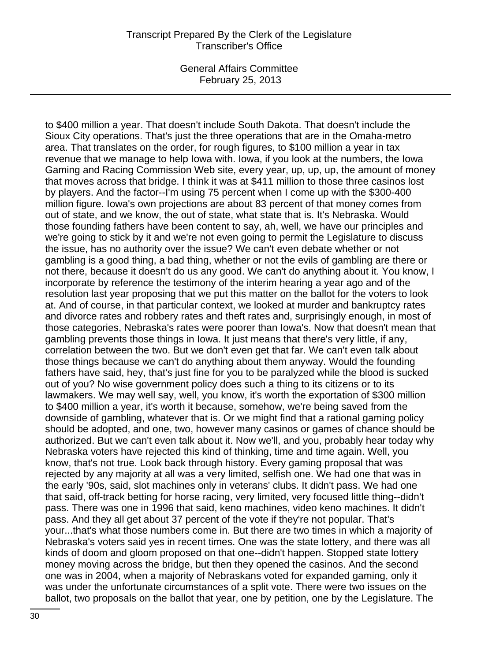General Affairs Committee February 25, 2013

to \$400 million a year. That doesn't include South Dakota. That doesn't include the Sioux City operations. That's just the three operations that are in the Omaha-metro area. That translates on the order, for rough figures, to \$100 million a year in tax revenue that we manage to help Iowa with. Iowa, if you look at the numbers, the Iowa Gaming and Racing Commission Web site, every year, up, up, up, the amount of money that moves across that bridge. I think it was at \$411 million to those three casinos lost by players. And the factor--I'm using 75 percent when I come up with the \$300-400 million figure. Iowa's own projections are about 83 percent of that money comes from out of state, and we know, the out of state, what state that is. It's Nebraska. Would those founding fathers have been content to say, ah, well, we have our principles and we're going to stick by it and we're not even going to permit the Legislature to discuss the issue, has no authority over the issue? We can't even debate whether or not gambling is a good thing, a bad thing, whether or not the evils of gambling are there or not there, because it doesn't do us any good. We can't do anything about it. You know, I incorporate by reference the testimony of the interim hearing a year ago and of the resolution last year proposing that we put this matter on the ballot for the voters to look at. And of course, in that particular context, we looked at murder and bankruptcy rates and divorce rates and robbery rates and theft rates and, surprisingly enough, in most of those categories, Nebraska's rates were poorer than Iowa's. Now that doesn't mean that gambling prevents those things in Iowa. It just means that there's very little, if any, correlation between the two. But we don't even get that far. We can't even talk about those things because we can't do anything about them anyway. Would the founding fathers have said, hey, that's just fine for you to be paralyzed while the blood is sucked out of you? No wise government policy does such a thing to its citizens or to its lawmakers. We may well say, well, you know, it's worth the exportation of \$300 million to \$400 million a year, it's worth it because, somehow, we're being saved from the downside of gambling, whatever that is. Or we might find that a rational gaming policy should be adopted, and one, two, however many casinos or games of chance should be authorized. But we can't even talk about it. Now we'll, and you, probably hear today why Nebraska voters have rejected this kind of thinking, time and time again. Well, you know, that's not true. Look back through history. Every gaming proposal that was rejected by any majority at all was a very limited, selfish one. We had one that was in the early '90s, said, slot machines only in veterans' clubs. It didn't pass. We had one that said, off-track betting for horse racing, very limited, very focused little thing--didn't pass. There was one in 1996 that said, keno machines, video keno machines. It didn't pass. And they all get about 37 percent of the vote if they're not popular. That's your...that's what those numbers come in. But there are two times in which a majority of Nebraska's voters said yes in recent times. One was the state lottery, and there was all kinds of doom and gloom proposed on that one--didn't happen. Stopped state lottery money moving across the bridge, but then they opened the casinos. And the second one was in 2004, when a majority of Nebraskans voted for expanded gaming, only it was under the unfortunate circumstances of a split vote. There were two issues on the ballot, two proposals on the ballot that year, one by petition, one by the Legislature. The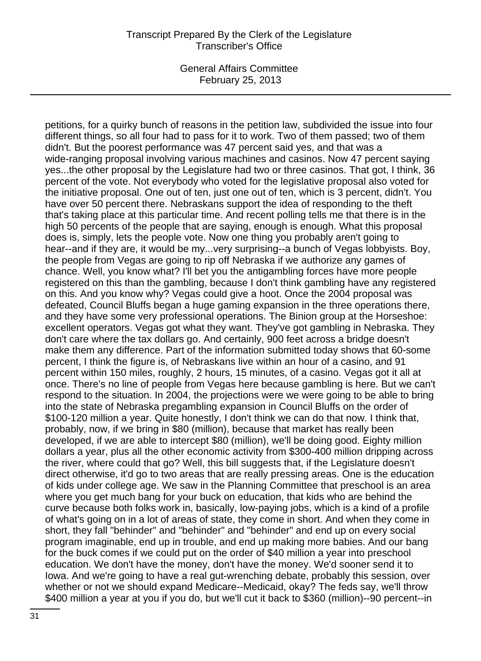General Affairs Committee February 25, 2013

petitions, for a quirky bunch of reasons in the petition law, subdivided the issue into four different things, so all four had to pass for it to work. Two of them passed; two of them didn't. But the poorest performance was 47 percent said yes, and that was a wide-ranging proposal involving various machines and casinos. Now 47 percent saying yes...the other proposal by the Legislature had two or three casinos. That got, I think, 36 percent of the vote. Not everybody who voted for the legislative proposal also voted for the initiative proposal. One out of ten, just one out of ten, which is 3 percent, didn't. You have over 50 percent there. Nebraskans support the idea of responding to the theft that's taking place at this particular time. And recent polling tells me that there is in the high 50 percents of the people that are saying, enough is enough. What this proposal does is, simply, lets the people vote. Now one thing you probably aren't going to hear--and if they are, it would be my...very surprising--a bunch of Vegas lobbyists. Boy, the people from Vegas are going to rip off Nebraska if we authorize any games of chance. Well, you know what? I'll bet you the antigambling forces have more people registered on this than the gambling, because I don't think gambling have any registered on this. And you know why? Vegas could give a hoot. Once the 2004 proposal was defeated, Council Bluffs began a huge gaming expansion in the three operations there, and they have some very professional operations. The Binion group at the Horseshoe: excellent operators. Vegas got what they want. They've got gambling in Nebraska. They don't care where the tax dollars go. And certainly, 900 feet across a bridge doesn't make them any difference. Part of the information submitted today shows that 60-some percent, I think the figure is, of Nebraskans live within an hour of a casino, and 91 percent within 150 miles, roughly, 2 hours, 15 minutes, of a casino. Vegas got it all at once. There's no line of people from Vegas here because gambling is here. But we can't respond to the situation. In 2004, the projections were we were going to be able to bring into the state of Nebraska pregambling expansion in Council Bluffs on the order of \$100-120 million a year. Quite honestly, I don't think we can do that now. I think that, probably, now, if we bring in \$80 (million), because that market has really been developed, if we are able to intercept \$80 (million), we'll be doing good. Eighty million dollars a year, plus all the other economic activity from \$300-400 million dripping across the river, where could that go? Well, this bill suggests that, if the Legislature doesn't direct otherwise, it'd go to two areas that are really pressing areas. One is the education of kids under college age. We saw in the Planning Committee that preschool is an area where you get much bang for your buck on education, that kids who are behind the curve because both folks work in, basically, low-paying jobs, which is a kind of a profile of what's going on in a lot of areas of state, they come in short. And when they come in short, they fall "behinder" and "behinder" and "behinder" and end up on every social program imaginable, end up in trouble, and end up making more babies. And our bang for the buck comes if we could put on the order of \$40 million a year into preschool education. We don't have the money, don't have the money. We'd sooner send it to Iowa. And we're going to have a real gut-wrenching debate, probably this session, over whether or not we should expand Medicare--Medicaid, okay? The feds say, we'll throw \$400 million a year at you if you do, but we'll cut it back to \$360 (million)--90 percent--in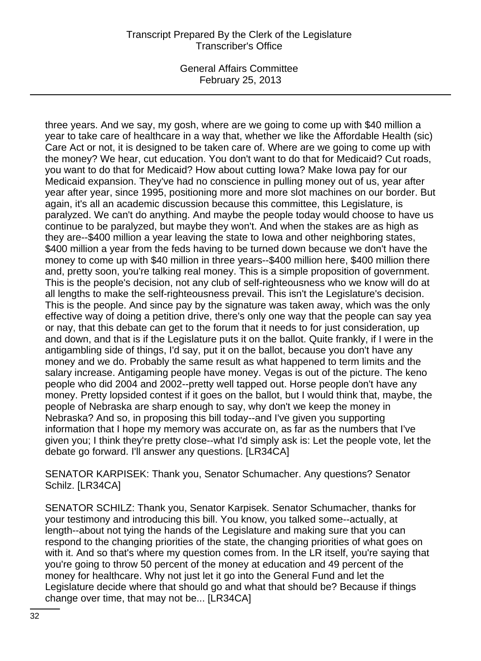General Affairs Committee February 25, 2013

three years. And we say, my gosh, where are we going to come up with \$40 million a year to take care of healthcare in a way that, whether we like the Affordable Health (sic) Care Act or not, it is designed to be taken care of. Where are we going to come up with the money? We hear, cut education. You don't want to do that for Medicaid? Cut roads, you want to do that for Medicaid? How about cutting Iowa? Make Iowa pay for our Medicaid expansion. They've had no conscience in pulling money out of us, year after year after year, since 1995, positioning more and more slot machines on our border. But again, it's all an academic discussion because this committee, this Legislature, is paralyzed. We can't do anything. And maybe the people today would choose to have us continue to be paralyzed, but maybe they won't. And when the stakes are as high as they are--\$400 million a year leaving the state to Iowa and other neighboring states, \$400 million a year from the feds having to be turned down because we don't have the money to come up with \$40 million in three years--\$400 million here, \$400 million there and, pretty soon, you're talking real money. This is a simple proposition of government. This is the people's decision, not any club of self-righteousness who we know will do at all lengths to make the self-righteousness prevail. This isn't the Legislature's decision. This is the people. And since pay by the signature was taken away, which was the only effective way of doing a petition drive, there's only one way that the people can say yea or nay, that this debate can get to the forum that it needs to for just consideration, up and down, and that is if the Legislature puts it on the ballot. Quite frankly, if I were in the antigambling side of things, I'd say, put it on the ballot, because you don't have any money and we do. Probably the same result as what happened to term limits and the salary increase. Antigaming people have money. Vegas is out of the picture. The keno people who did 2004 and 2002--pretty well tapped out. Horse people don't have any money. Pretty lopsided contest if it goes on the ballot, but I would think that, maybe, the people of Nebraska are sharp enough to say, why don't we keep the money in Nebraska? And so, in proposing this bill today--and I've given you supporting information that I hope my memory was accurate on, as far as the numbers that I've given you; I think they're pretty close--what I'd simply ask is: Let the people vote, let the debate go forward. I'll answer any questions. [LR34CA]

SENATOR KARPISEK: Thank you, Senator Schumacher. Any questions? Senator Schilz. [LR34CA]

SENATOR SCHILZ: Thank you, Senator Karpisek. Senator Schumacher, thanks for your testimony and introducing this bill. You know, you talked some--actually, at length--about not tying the hands of the Legislature and making sure that you can respond to the changing priorities of the state, the changing priorities of what goes on with it. And so that's where my question comes from. In the LR itself, you're saying that you're going to throw 50 percent of the money at education and 49 percent of the money for healthcare. Why not just let it go into the General Fund and let the Legislature decide where that should go and what that should be? Because if things change over time, that may not be... [LR34CA]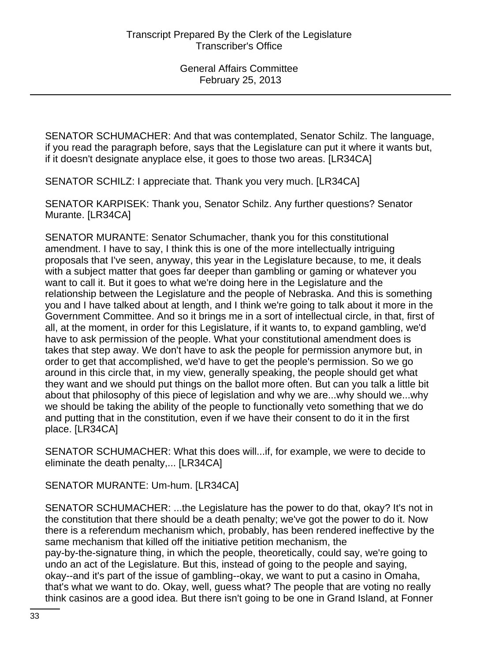SENATOR SCHUMACHER: And that was contemplated, Senator Schilz. The language, if you read the paragraph before, says that the Legislature can put it where it wants but, if it doesn't designate anyplace else, it goes to those two areas. [LR34CA]

SENATOR SCHILZ: I appreciate that. Thank you very much. [LR34CA]

SENATOR KARPISEK: Thank you, Senator Schilz. Any further questions? Senator Murante. [LR34CA]

SENATOR MURANTE: Senator Schumacher, thank you for this constitutional amendment. I have to say, I think this is one of the more intellectually intriguing proposals that I've seen, anyway, this year in the Legislature because, to me, it deals with a subject matter that goes far deeper than gambling or gaming or whatever you want to call it. But it goes to what we're doing here in the Legislature and the relationship between the Legislature and the people of Nebraska. And this is something you and I have talked about at length, and I think we're going to talk about it more in the Government Committee. And so it brings me in a sort of intellectual circle, in that, first of all, at the moment, in order for this Legislature, if it wants to, to expand gambling, we'd have to ask permission of the people. What your constitutional amendment does is takes that step away. We don't have to ask the people for permission anymore but, in order to get that accomplished, we'd have to get the people's permission. So we go around in this circle that, in my view, generally speaking, the people should get what they want and we should put things on the ballot more often. But can you talk a little bit about that philosophy of this piece of legislation and why we are...why should we...why we should be taking the ability of the people to functionally veto something that we do and putting that in the constitution, even if we have their consent to do it in the first place. [LR34CA]

SENATOR SCHUMACHER: What this does will...if, for example, we were to decide to eliminate the death penalty,... [LR34CA]

SENATOR MURANTE: Um-hum. [LR34CA]

SENATOR SCHUMACHER: ...the Legislature has the power to do that, okay? It's not in the constitution that there should be a death penalty; we've got the power to do it. Now there is a referendum mechanism which, probably, has been rendered ineffective by the same mechanism that killed off the initiative petition mechanism, the pay-by-the-signature thing, in which the people, theoretically, could say, we're going to undo an act of the Legislature. But this, instead of going to the people and saying, okay--and it's part of the issue of gambling--okay, we want to put a casino in Omaha, that's what we want to do. Okay, well, guess what? The people that are voting no really think casinos are a good idea. But there isn't going to be one in Grand Island, at Fonner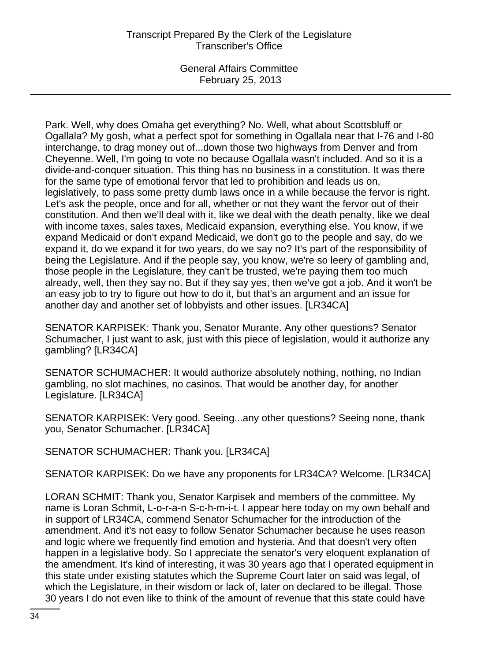General Affairs Committee February 25, 2013

Park. Well, why does Omaha get everything? No. Well, what about Scottsbluff or Ogallala? My gosh, what a perfect spot for something in Ogallala near that I-76 and I-80 interchange, to drag money out of...down those two highways from Denver and from Cheyenne. Well, I'm going to vote no because Ogallala wasn't included. And so it is a divide-and-conquer situation. This thing has no business in a constitution. It was there for the same type of emotional fervor that led to prohibition and leads us on, legislatively, to pass some pretty dumb laws once in a while because the fervor is right. Let's ask the people, once and for all, whether or not they want the fervor out of their constitution. And then we'll deal with it, like we deal with the death penalty, like we deal with income taxes, sales taxes, Medicaid expansion, everything else. You know, if we expand Medicaid or don't expand Medicaid, we don't go to the people and say, do we expand it, do we expand it for two years, do we say no? It's part of the responsibility of being the Legislature. And if the people say, you know, we're so leery of gambling and, those people in the Legislature, they can't be trusted, we're paying them too much already, well, then they say no. But if they say yes, then we've got a job. And it won't be an easy job to try to figure out how to do it, but that's an argument and an issue for another day and another set of lobbyists and other issues. [LR34CA]

SENATOR KARPISEK: Thank you, Senator Murante. Any other questions? Senator Schumacher, I just want to ask, just with this piece of legislation, would it authorize any gambling? [LR34CA]

SENATOR SCHUMACHER: It would authorize absolutely nothing, nothing, no Indian gambling, no slot machines, no casinos. That would be another day, for another Legislature. [LR34CA]

SENATOR KARPISEK: Very good. Seeing...any other questions? Seeing none, thank you, Senator Schumacher. [LR34CA]

SENATOR SCHUMACHER: Thank you. [LR34CA]

SENATOR KARPISEK: Do we have any proponents for LR34CA? Welcome. [LR34CA]

LORAN SCHMIT: Thank you, Senator Karpisek and members of the committee. My name is Loran Schmit, L-o-r-a-n S-c-h-m-i-t. I appear here today on my own behalf and in support of LR34CA, commend Senator Schumacher for the introduction of the amendment. And it's not easy to follow Senator Schumacher because he uses reason and logic where we frequently find emotion and hysteria. And that doesn't very often happen in a legislative body. So I appreciate the senator's very eloquent explanation of the amendment. It's kind of interesting, it was 30 years ago that I operated equipment in this state under existing statutes which the Supreme Court later on said was legal, of which the Legislature, in their wisdom or lack of, later on declared to be illegal. Those 30 years I do not even like to think of the amount of revenue that this state could have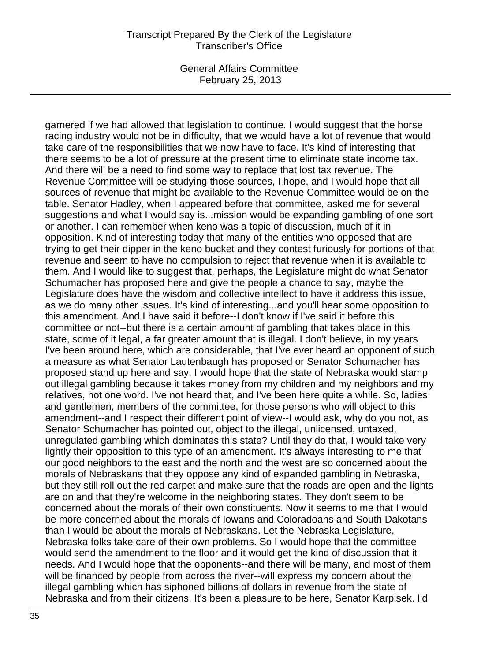General Affairs Committee February 25, 2013

garnered if we had allowed that legislation to continue. I would suggest that the horse racing industry would not be in difficulty, that we would have a lot of revenue that would take care of the responsibilities that we now have to face. It's kind of interesting that there seems to be a lot of pressure at the present time to eliminate state income tax. And there will be a need to find some way to replace that lost tax revenue. The Revenue Committee will be studying those sources, I hope, and I would hope that all sources of revenue that might be available to the Revenue Committee would be on the table. Senator Hadley, when I appeared before that committee, asked me for several suggestions and what I would say is...mission would be expanding gambling of one sort or another. I can remember when keno was a topic of discussion, much of it in opposition. Kind of interesting today that many of the entities who opposed that are trying to get their dipper in the keno bucket and they contest furiously for portions of that revenue and seem to have no compulsion to reject that revenue when it is available to them. And I would like to suggest that, perhaps, the Legislature might do what Senator Schumacher has proposed here and give the people a chance to say, maybe the Legislature does have the wisdom and collective intellect to have it address this issue, as we do many other issues. It's kind of interesting...and you'll hear some opposition to this amendment. And I have said it before--I don't know if I've said it before this committee or not--but there is a certain amount of gambling that takes place in this state, some of it legal, a far greater amount that is illegal. I don't believe, in my years I've been around here, which are considerable, that I've ever heard an opponent of such a measure as what Senator Lautenbaugh has proposed or Senator Schumacher has proposed stand up here and say, I would hope that the state of Nebraska would stamp out illegal gambling because it takes money from my children and my neighbors and my relatives, not one word. I've not heard that, and I've been here quite a while. So, ladies and gentlemen, members of the committee, for those persons who will object to this amendment--and I respect their different point of view--I would ask, why do you not, as Senator Schumacher has pointed out, object to the illegal, unlicensed, untaxed, unregulated gambling which dominates this state? Until they do that, I would take very lightly their opposition to this type of an amendment. It's always interesting to me that our good neighbors to the east and the north and the west are so concerned about the morals of Nebraskans that they oppose any kind of expanded gambling in Nebraska, but they still roll out the red carpet and make sure that the roads are open and the lights are on and that they're welcome in the neighboring states. They don't seem to be concerned about the morals of their own constituents. Now it seems to me that I would be more concerned about the morals of Iowans and Coloradoans and South Dakotans than I would be about the morals of Nebraskans. Let the Nebraska Legislature, Nebraska folks take care of their own problems. So I would hope that the committee would send the amendment to the floor and it would get the kind of discussion that it needs. And I would hope that the opponents--and there will be many, and most of them will be financed by people from across the river--will express my concern about the illegal gambling which has siphoned billions of dollars in revenue from the state of Nebraska and from their citizens. It's been a pleasure to be here, Senator Karpisek. I'd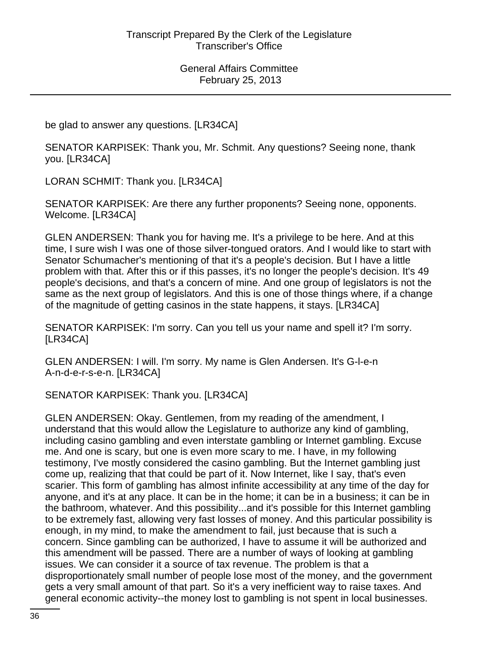be glad to answer any questions. [LR34CA]

SENATOR KARPISEK: Thank you, Mr. Schmit. Any questions? Seeing none, thank you. [LR34CA]

LORAN SCHMIT: Thank you. [LR34CA]

SENATOR KARPISEK: Are there any further proponents? Seeing none, opponents. Welcome. [LR34CA]

GLEN ANDERSEN: Thank you for having me. It's a privilege to be here. And at this time, I sure wish I was one of those silver-tongued orators. And I would like to start with Senator Schumacher's mentioning of that it's a people's decision. But I have a little problem with that. After this or if this passes, it's no longer the people's decision. It's 49 people's decisions, and that's a concern of mine. And one group of legislators is not the same as the next group of legislators. And this is one of those things where, if a change of the magnitude of getting casinos in the state happens, it stays. [LR34CA]

SENATOR KARPISEK: I'm sorry. Can you tell us your name and spell it? I'm sorry. [LR34CA]

GLEN ANDERSEN: I will. I'm sorry. My name is Glen Andersen. It's G-l-e-n A-n-d-e-r-s-e-n. [LR34CA]

SENATOR KARPISEK: Thank you. [LR34CA]

GLEN ANDERSEN: Okay. Gentlemen, from my reading of the amendment, I understand that this would allow the Legislature to authorize any kind of gambling, including casino gambling and even interstate gambling or Internet gambling. Excuse me. And one is scary, but one is even more scary to me. I have, in my following testimony, I've mostly considered the casino gambling. But the Internet gambling just come up, realizing that that could be part of it. Now Internet, like I say, that's even scarier. This form of gambling has almost infinite accessibility at any time of the day for anyone, and it's at any place. It can be in the home; it can be in a business; it can be in the bathroom, whatever. And this possibility...and it's possible for this Internet gambling to be extremely fast, allowing very fast losses of money. And this particular possibility is enough, in my mind, to make the amendment to fail, just because that is such a concern. Since gambling can be authorized, I have to assume it will be authorized and this amendment will be passed. There are a number of ways of looking at gambling issues. We can consider it a source of tax revenue. The problem is that a disproportionately small number of people lose most of the money, and the government gets a very small amount of that part. So it's a very inefficient way to raise taxes. And general economic activity--the money lost to gambling is not spent in local businesses.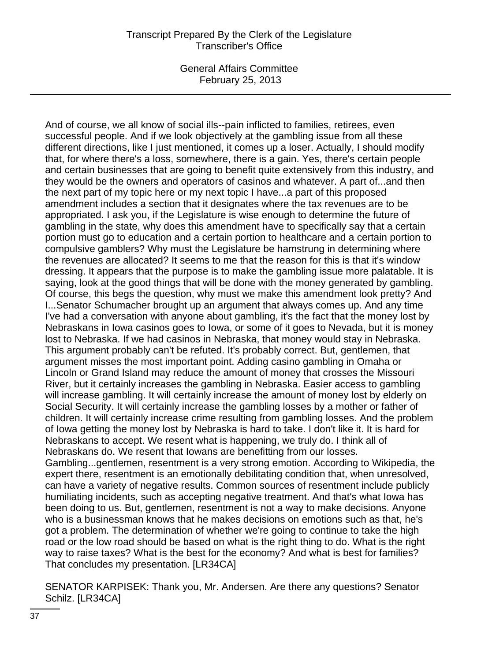General Affairs Committee February 25, 2013

And of course, we all know of social ills--pain inflicted to families, retirees, even successful people. And if we look objectively at the gambling issue from all these different directions, like I just mentioned, it comes up a loser. Actually, I should modify that, for where there's a loss, somewhere, there is a gain. Yes, there's certain people and certain businesses that are going to benefit quite extensively from this industry, and they would be the owners and operators of casinos and whatever. A part of...and then the next part of my topic here or my next topic I have...a part of this proposed amendment includes a section that it designates where the tax revenues are to be appropriated. I ask you, if the Legislature is wise enough to determine the future of gambling in the state, why does this amendment have to specifically say that a certain portion must go to education and a certain portion to healthcare and a certain portion to compulsive gamblers? Why must the Legislature be hamstrung in determining where the revenues are allocated? It seems to me that the reason for this is that it's window dressing. It appears that the purpose is to make the gambling issue more palatable. It is saying, look at the good things that will be done with the money generated by gambling. Of course, this begs the question, why must we make this amendment look pretty? And I...Senator Schumacher brought up an argument that always comes up. And any time I've had a conversation with anyone about gambling, it's the fact that the money lost by Nebraskans in Iowa casinos goes to Iowa, or some of it goes to Nevada, but it is money lost to Nebraska. If we had casinos in Nebraska, that money would stay in Nebraska. This argument probably can't be refuted. It's probably correct. But, gentlemen, that argument misses the most important point. Adding casino gambling in Omaha or Lincoln or Grand Island may reduce the amount of money that crosses the Missouri River, but it certainly increases the gambling in Nebraska. Easier access to gambling will increase gambling. It will certainly increase the amount of money lost by elderly on Social Security. It will certainly increase the gambling losses by a mother or father of children. It will certainly increase crime resulting from gambling losses. And the problem of Iowa getting the money lost by Nebraska is hard to take. I don't like it. It is hard for Nebraskans to accept. We resent what is happening, we truly do. I think all of Nebraskans do. We resent that Iowans are benefitting from our losses. Gambling...gentlemen, resentment is a very strong emotion. According to Wikipedia, the expert there, resentment is an emotionally debilitating condition that, when unresolved, can have a variety of negative results. Common sources of resentment include publicly humiliating incidents, such as accepting negative treatment. And that's what Iowa has been doing to us. But, gentlemen, resentment is not a way to make decisions. Anyone who is a businessman knows that he makes decisions on emotions such as that, he's got a problem. The determination of whether we're going to continue to take the high road or the low road should be based on what is the right thing to do. What is the right way to raise taxes? What is the best for the economy? And what is best for families? That concludes my presentation. [LR34CA]

SENATOR KARPISEK: Thank you, Mr. Andersen. Are there any questions? Senator Schilz. [LR34CA]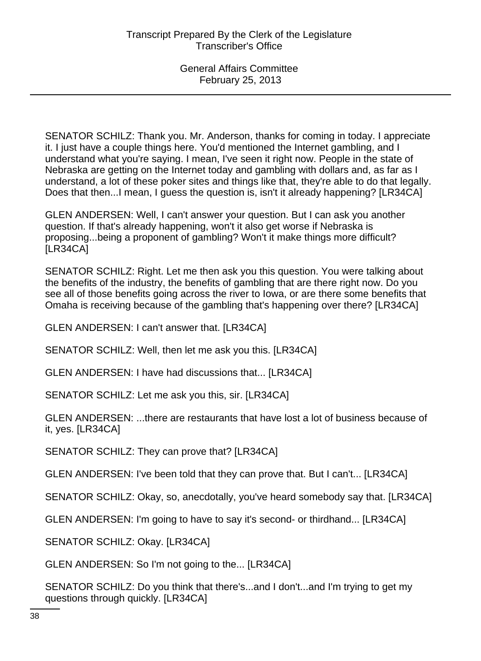SENATOR SCHILZ: Thank you. Mr. Anderson, thanks for coming in today. I appreciate it. I just have a couple things here. You'd mentioned the Internet gambling, and I understand what you're saying. I mean, I've seen it right now. People in the state of Nebraska are getting on the Internet today and gambling with dollars and, as far as I understand, a lot of these poker sites and things like that, they're able to do that legally. Does that then...I mean, I guess the question is, isn't it already happening? [LR34CA]

GLEN ANDERSEN: Well, I can't answer your question. But I can ask you another question. If that's already happening, won't it also get worse if Nebraska is proposing...being a proponent of gambling? Won't it make things more difficult? [LR34CA]

SENATOR SCHILZ: Right. Let me then ask you this question. You were talking about the benefits of the industry, the benefits of gambling that are there right now. Do you see all of those benefits going across the river to Iowa, or are there some benefits that Omaha is receiving because of the gambling that's happening over there? [LR34CA]

GLEN ANDERSEN: I can't answer that. [LR34CA]

SENATOR SCHILZ: Well, then let me ask you this. [LR34CA]

GLEN ANDERSEN: I have had discussions that... [LR34CA]

SENATOR SCHILZ: Let me ask you this, sir. [LR34CA]

GLEN ANDERSEN: ...there are restaurants that have lost a lot of business because of it, yes. [LR34CA]

SENATOR SCHILZ: They can prove that? [LR34CA]

GLEN ANDERSEN: I've been told that they can prove that. But I can't... [LR34CA]

SENATOR SCHILZ: Okay, so, anecdotally, you've heard somebody say that. [LR34CA]

GLEN ANDERSEN: I'm going to have to say it's second- or thirdhand... [LR34CA]

SENATOR SCHILZ: Okay. [LR34CA]

GLEN ANDERSEN: So I'm not going to the... [LR34CA]

SENATOR SCHILZ: Do you think that there's...and I don't...and I'm trying to get my questions through quickly. [LR34CA]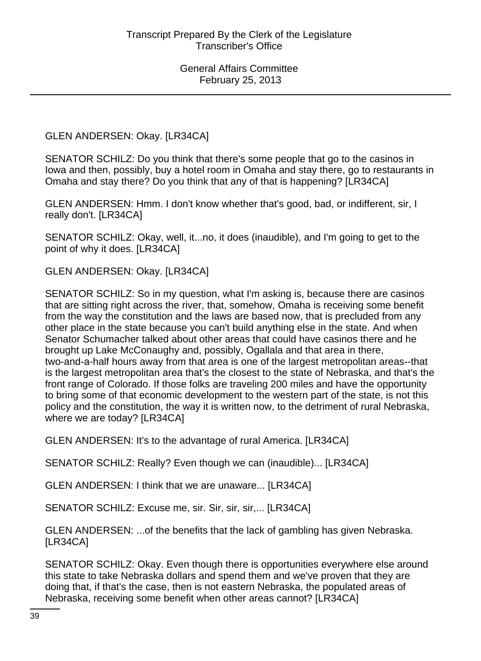GLEN ANDERSEN: Okay. [LR34CA]

SENATOR SCHILZ: Do you think that there's some people that go to the casinos in Iowa and then, possibly, buy a hotel room in Omaha and stay there, go to restaurants in Omaha and stay there? Do you think that any of that is happening? [LR34CA]

GLEN ANDERSEN: Hmm. I don't know whether that's good, bad, or indifferent, sir, I really don't. [LR34CA]

SENATOR SCHILZ: Okay, well, it...no, it does (inaudible), and I'm going to get to the point of why it does. [LR34CA]

GLEN ANDERSEN: Okay. [LR34CA]

SENATOR SCHILZ: So in my question, what I'm asking is, because there are casinos that are sitting right across the river, that, somehow, Omaha is receiving some benefit from the way the constitution and the laws are based now, that is precluded from any other place in the state because you can't build anything else in the state. And when Senator Schumacher talked about other areas that could have casinos there and he brought up Lake McConaughy and, possibly, Ogallala and that area in there, two-and-a-half hours away from that area is one of the largest metropolitan areas--that is the largest metropolitan area that's the closest to the state of Nebraska, and that's the front range of Colorado. If those folks are traveling 200 miles and have the opportunity to bring some of that economic development to the western part of the state, is not this policy and the constitution, the way it is written now, to the detriment of rural Nebraska, where we are today? [LR34CA]

GLEN ANDERSEN: It's to the advantage of rural America. [LR34CA]

SENATOR SCHILZ: Really? Even though we can (inaudible)... [LR34CA]

GLEN ANDERSEN: I think that we are unaware... [LR34CA]

SENATOR SCHILZ: Excuse me, sir. Sir, sir, sir,... [LR34CA]

GLEN ANDERSEN: ...of the benefits that the lack of gambling has given Nebraska. [LR34CA]

SENATOR SCHILZ: Okay. Even though there is opportunities everywhere else around this state to take Nebraska dollars and spend them and we've proven that they are doing that, if that's the case, then is not eastern Nebraska, the populated areas of Nebraska, receiving some benefit when other areas cannot? [LR34CA]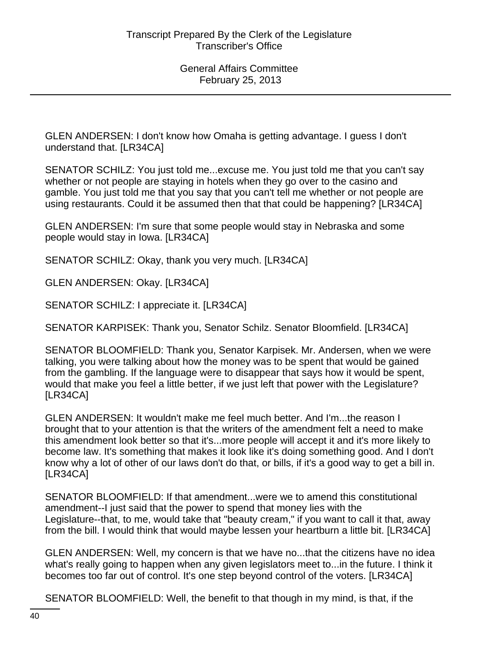GLEN ANDERSEN: I don't know how Omaha is getting advantage. I guess I don't understand that. [LR34CA]

SENATOR SCHILZ: You just told me...excuse me. You just told me that you can't say whether or not people are staying in hotels when they go over to the casino and gamble. You just told me that you say that you can't tell me whether or not people are using restaurants. Could it be assumed then that that could be happening? [LR34CA]

GLEN ANDERSEN: I'm sure that some people would stay in Nebraska and some people would stay in Iowa. [LR34CA]

SENATOR SCHILZ: Okay, thank you very much. [LR34CA]

GLEN ANDERSEN: Okay. [LR34CA]

SENATOR SCHILZ: I appreciate it. [LR34CA]

SENATOR KARPISEK: Thank you, Senator Schilz. Senator Bloomfield. [LR34CA]

SENATOR BLOOMFIELD: Thank you, Senator Karpisek. Mr. Andersen, when we were talking, you were talking about how the money was to be spent that would be gained from the gambling. If the language were to disappear that says how it would be spent, would that make you feel a little better, if we just left that power with the Legislature? [LR34CA]

GLEN ANDERSEN: It wouldn't make me feel much better. And I'm...the reason I brought that to your attention is that the writers of the amendment felt a need to make this amendment look better so that it's...more people will accept it and it's more likely to become law. It's something that makes it look like it's doing something good. And I don't know why a lot of other of our laws don't do that, or bills, if it's a good way to get a bill in. [LR34CA]

SENATOR BLOOMFIELD: If that amendment...were we to amend this constitutional amendment--I just said that the power to spend that money lies with the Legislature--that, to me, would take that "beauty cream," if you want to call it that, away from the bill. I would think that would maybe lessen your heartburn a little bit. [LR34CA]

GLEN ANDERSEN: Well, my concern is that we have no...that the citizens have no idea what's really going to happen when any given legislators meet to...in the future. I think it becomes too far out of control. It's one step beyond control of the voters. [LR34CA]

SENATOR BLOOMFIELD: Well, the benefit to that though in my mind, is that, if the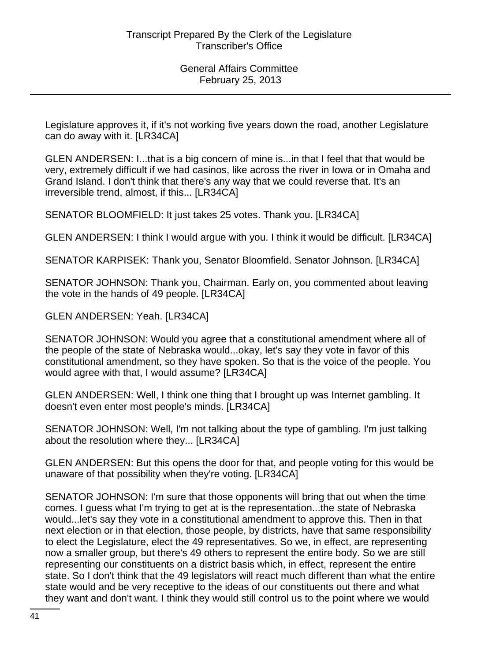Legislature approves it, if it's not working five years down the road, another Legislature can do away with it. [LR34CA]

GLEN ANDERSEN: I...that is a big concern of mine is...in that I feel that that would be very, extremely difficult if we had casinos, like across the river in Iowa or in Omaha and Grand Island. I don't think that there's any way that we could reverse that. It's an irreversible trend, almost, if this... [LR34CA]

SENATOR BLOOMFIELD: It just takes 25 votes. Thank you. [LR34CA]

GLEN ANDERSEN: I think I would argue with you. I think it would be difficult. [LR34CA]

SENATOR KARPISEK: Thank you, Senator Bloomfield. Senator Johnson. [LR34CA]

SENATOR JOHNSON: Thank you, Chairman. Early on, you commented about leaving the vote in the hands of 49 people. [LR34CA]

GLEN ANDERSEN: Yeah. [LR34CA]

SENATOR JOHNSON: Would you agree that a constitutional amendment where all of the people of the state of Nebraska would...okay, let's say they vote in favor of this constitutional amendment, so they have spoken. So that is the voice of the people. You would agree with that, I would assume? [LR34CA]

GLEN ANDERSEN: Well, I think one thing that I brought up was Internet gambling. It doesn't even enter most people's minds. [LR34CA]

SENATOR JOHNSON: Well, I'm not talking about the type of gambling. I'm just talking about the resolution where they... [LR34CA]

GLEN ANDERSEN: But this opens the door for that, and people voting for this would be unaware of that possibility when they're voting. [LR34CA]

SENATOR JOHNSON: I'm sure that those opponents will bring that out when the time comes. I guess what I'm trying to get at is the representation...the state of Nebraska would...let's say they vote in a constitutional amendment to approve this. Then in that next election or in that election, those people, by districts, have that same responsibility to elect the Legislature, elect the 49 representatives. So we, in effect, are representing now a smaller group, but there's 49 others to represent the entire body. So we are still representing our constituents on a district basis which, in effect, represent the entire state. So I don't think that the 49 legislators will react much different than what the entire state would and be very receptive to the ideas of our constituents out there and what they want and don't want. I think they would still control us to the point where we would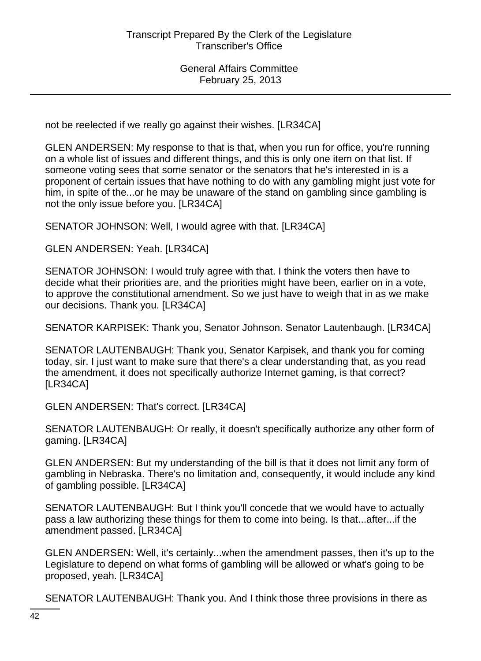not be reelected if we really go against their wishes. [LR34CA]

GLEN ANDERSEN: My response to that is that, when you run for office, you're running on a whole list of issues and different things, and this is only one item on that list. If someone voting sees that some senator or the senators that he's interested in is a proponent of certain issues that have nothing to do with any gambling might just vote for him, in spite of the...or he may be unaware of the stand on gambling since gambling is not the only issue before you. [LR34CA]

SENATOR JOHNSON: Well, I would agree with that. [LR34CA]

GLEN ANDERSEN: Yeah. [LR34CA]

SENATOR JOHNSON: I would truly agree with that. I think the voters then have to decide what their priorities are, and the priorities might have been, earlier on in a vote, to approve the constitutional amendment. So we just have to weigh that in as we make our decisions. Thank you. [LR34CA]

SENATOR KARPISEK: Thank you, Senator Johnson. Senator Lautenbaugh. [LR34CA]

SENATOR LAUTENBAUGH: Thank you, Senator Karpisek, and thank you for coming today, sir. I just want to make sure that there's a clear understanding that, as you read the amendment, it does not specifically authorize Internet gaming, is that correct? [LR34CA]

GLEN ANDERSEN: That's correct. [LR34CA]

SENATOR LAUTENBAUGH: Or really, it doesn't specifically authorize any other form of gaming. [LR34CA]

GLEN ANDERSEN: But my understanding of the bill is that it does not limit any form of gambling in Nebraska. There's no limitation and, consequently, it would include any kind of gambling possible. [LR34CA]

SENATOR LAUTENBAUGH: But I think you'll concede that we would have to actually pass a law authorizing these things for them to come into being. Is that...after...if the amendment passed. [LR34CA]

GLEN ANDERSEN: Well, it's certainly...when the amendment passes, then it's up to the Legislature to depend on what forms of gambling will be allowed or what's going to be proposed, yeah. [LR34CA]

SENATOR LAUTENBAUGH: Thank you. And I think those three provisions in there as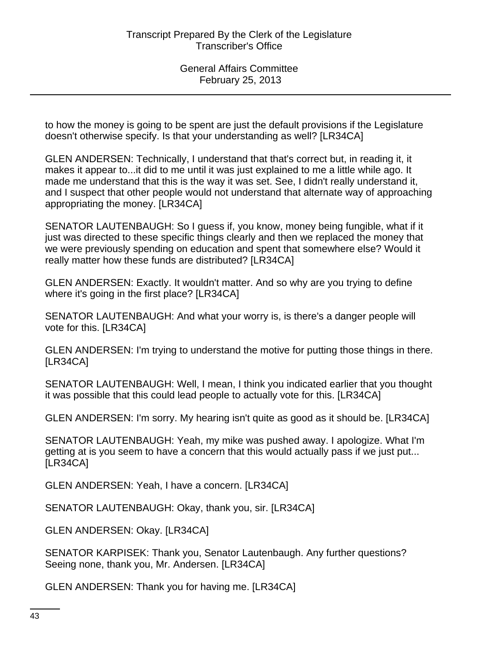to how the money is going to be spent are just the default provisions if the Legislature doesn't otherwise specify. Is that your understanding as well? [LR34CA]

GLEN ANDERSEN: Technically, I understand that that's correct but, in reading it, it makes it appear to...it did to me until it was just explained to me a little while ago. It made me understand that this is the way it was set. See, I didn't really understand it, and I suspect that other people would not understand that alternate way of approaching appropriating the money. [LR34CA]

SENATOR LAUTENBAUGH: So I guess if, you know, money being fungible, what if it just was directed to these specific things clearly and then we replaced the money that we were previously spending on education and spent that somewhere else? Would it really matter how these funds are distributed? [LR34CA]

GLEN ANDERSEN: Exactly. It wouldn't matter. And so why are you trying to define where it's going in the first place? [LR34CA]

SENATOR LAUTENBAUGH: And what your worry is, is there's a danger people will vote for this. [LR34CA]

GLEN ANDERSEN: I'm trying to understand the motive for putting those things in there. [LR34CA]

SENATOR LAUTENBAUGH: Well, I mean, I think you indicated earlier that you thought it was possible that this could lead people to actually vote for this. [LR34CA]

GLEN ANDERSEN: I'm sorry. My hearing isn't quite as good as it should be. [LR34CA]

SENATOR LAUTENBAUGH: Yeah, my mike was pushed away. I apologize. What I'm getting at is you seem to have a concern that this would actually pass if we just put... [LR34CA]

GLEN ANDERSEN: Yeah, I have a concern. [LR34CA]

SENATOR LAUTENBAUGH: Okay, thank you, sir. [LR34CA]

GLEN ANDERSEN: Okay. [LR34CA]

SENATOR KARPISEK: Thank you, Senator Lautenbaugh. Any further questions? Seeing none, thank you, Mr. Andersen. [LR34CA]

GLEN ANDERSEN: Thank you for having me. [LR34CA]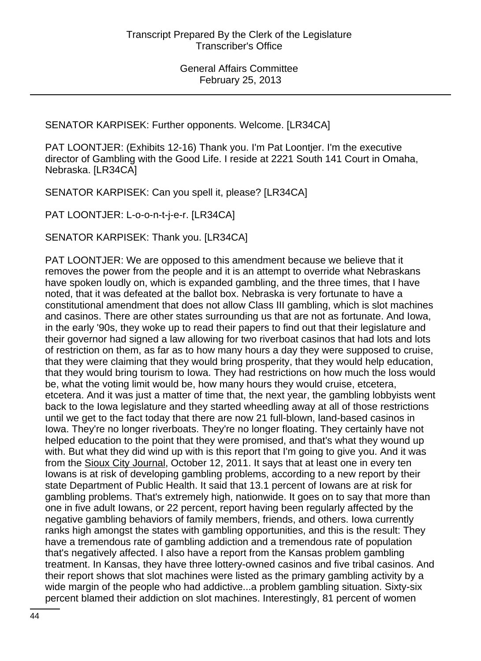SENATOR KARPISEK: Further opponents. Welcome. [LR34CA]

PAT LOONTJER: (Exhibits 12-16) Thank you. I'm Pat Loontjer. I'm the executive director of Gambling with the Good Life. I reside at 2221 South 141 Court in Omaha, Nebraska. [LR34CA]

SENATOR KARPISEK: Can you spell it, please? [LR34CA]

PAT LOONTJER: L-o-o-n-t-j-e-r. [LR34CA]

SENATOR KARPISEK: Thank you. [LR34CA]

PAT LOONTJER: We are opposed to this amendment because we believe that it removes the power from the people and it is an attempt to override what Nebraskans have spoken loudly on, which is expanded gambling, and the three times, that I have noted, that it was defeated at the ballot box. Nebraska is very fortunate to have a constitutional amendment that does not allow Class III gambling, which is slot machines and casinos. There are other states surrounding us that are not as fortunate. And Iowa, in the early '90s, they woke up to read their papers to find out that their legislature and their governor had signed a law allowing for two riverboat casinos that had lots and lots of restriction on them, as far as to how many hours a day they were supposed to cruise, that they were claiming that they would bring prosperity, that they would help education, that they would bring tourism to Iowa. They had restrictions on how much the loss would be, what the voting limit would be, how many hours they would cruise, etcetera, etcetera. And it was just a matter of time that, the next year, the gambling lobbyists went back to the Iowa legislature and they started wheedling away at all of those restrictions until we get to the fact today that there are now 21 full-blown, land-based casinos in Iowa. They're no longer riverboats. They're no longer floating. They certainly have not helped education to the point that they were promised, and that's what they wound up with. But what they did wind up with is this report that I'm going to give you. And it was from the Sioux City Journal, October 12, 2011. It says that at least one in every ten Iowans is at risk of developing gambling problems, according to a new report by their state Department of Public Health. It said that 13.1 percent of Iowans are at risk for gambling problems. That's extremely high, nationwide. It goes on to say that more than one in five adult Iowans, or 22 percent, report having been regularly affected by the negative gambling behaviors of family members, friends, and others. Iowa currently ranks high amongst the states with gambling opportunities, and this is the result: They have a tremendous rate of gambling addiction and a tremendous rate of population that's negatively affected. I also have a report from the Kansas problem gambling treatment. In Kansas, they have three lottery-owned casinos and five tribal casinos. And their report shows that slot machines were listed as the primary gambling activity by a wide margin of the people who had addictive...a problem gambling situation. Sixty-six percent blamed their addiction on slot machines. Interestingly, 81 percent of women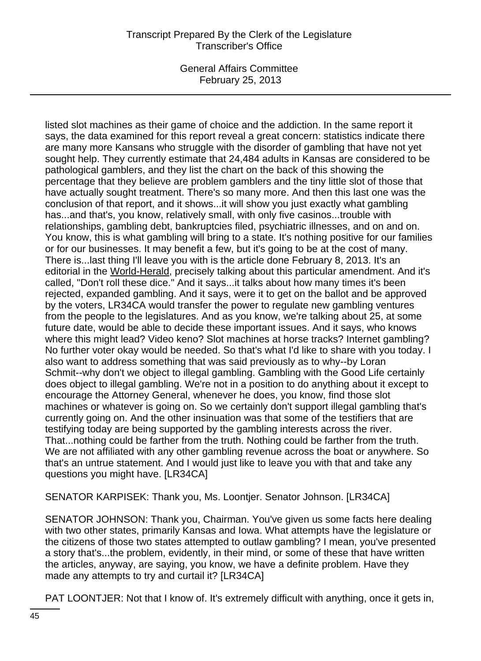General Affairs Committee February 25, 2013

listed slot machines as their game of choice and the addiction. In the same report it says, the data examined for this report reveal a great concern: statistics indicate there are many more Kansans who struggle with the disorder of gambling that have not yet sought help. They currently estimate that 24,484 adults in Kansas are considered to be pathological gamblers, and they list the chart on the back of this showing the percentage that they believe are problem gamblers and the tiny little slot of those that have actually sought treatment. There's so many more. And then this last one was the conclusion of that report, and it shows...it will show you just exactly what gambling has...and that's, you know, relatively small, with only five casinos...trouble with relationships, gambling debt, bankruptcies filed, psychiatric illnesses, and on and on. You know, this is what gambling will bring to a state. It's nothing positive for our families or for our businesses. It may benefit a few, but it's going to be at the cost of many. There is...last thing I'll leave you with is the article done February 8, 2013. It's an editorial in the World-Herald, precisely talking about this particular amendment. And it's called, "Don't roll these dice." And it says...it talks about how many times it's been rejected, expanded gambling. And it says, were it to get on the ballot and be approved by the voters, LR34CA would transfer the power to regulate new gambling ventures from the people to the legislatures. And as you know, we're talking about 25, at some future date, would be able to decide these important issues. And it says, who knows where this might lead? Video keno? Slot machines at horse tracks? Internet gambling? No further voter okay would be needed. So that's what I'd like to share with you today. I also want to address something that was said previously as to why--by Loran Schmit--why don't we object to illegal gambling. Gambling with the Good Life certainly does object to illegal gambling. We're not in a position to do anything about it except to encourage the Attorney General, whenever he does, you know, find those slot machines or whatever is going on. So we certainly don't support illegal gambling that's currently going on. And the other insinuation was that some of the testifiers that are testifying today are being supported by the gambling interests across the river. That...nothing could be farther from the truth. Nothing could be farther from the truth. We are not affiliated with any other gambling revenue across the boat or anywhere. So that's an untrue statement. And I would just like to leave you with that and take any questions you might have. [LR34CA]

SENATOR KARPISEK: Thank you, Ms. Loontjer. Senator Johnson. [LR34CA]

SENATOR JOHNSON: Thank you, Chairman. You've given us some facts here dealing with two other states, primarily Kansas and Iowa. What attempts have the legislature or the citizens of those two states attempted to outlaw gambling? I mean, you've presented a story that's...the problem, evidently, in their mind, or some of these that have written the articles, anyway, are saying, you know, we have a definite problem. Have they made any attempts to try and curtail it? [LR34CA]

PAT LOONTJER: Not that I know of. It's extremely difficult with anything, once it gets in,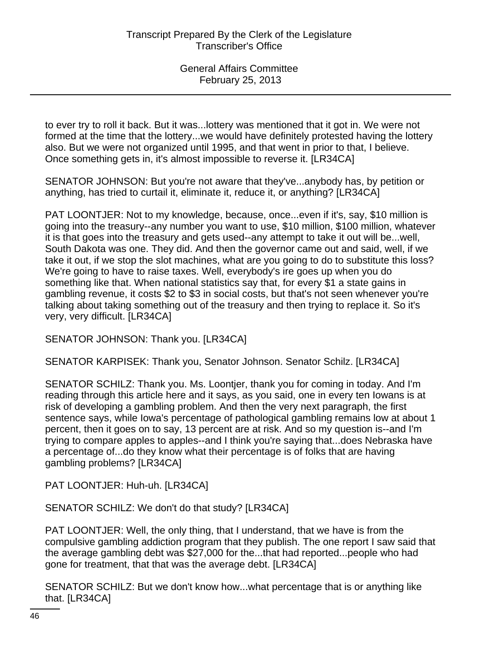to ever try to roll it back. But it was...lottery was mentioned that it got in. We were not formed at the time that the lottery...we would have definitely protested having the lottery also. But we were not organized until 1995, and that went in prior to that, I believe. Once something gets in, it's almost impossible to reverse it. [LR34CA]

SENATOR JOHNSON: But you're not aware that they've...anybody has, by petition or anything, has tried to curtail it, eliminate it, reduce it, or anything? [LR34CA]

PAT LOONTJER: Not to my knowledge, because, once...even if it's, say, \$10 million is going into the treasury--any number you want to use, \$10 million, \$100 million, whatever it is that goes into the treasury and gets used--any attempt to take it out will be...well, South Dakota was one. They did. And then the governor came out and said, well, if we take it out, if we stop the slot machines, what are you going to do to substitute this loss? We're going to have to raise taxes. Well, everybody's ire goes up when you do something like that. When national statistics say that, for every \$1 a state gains in gambling revenue, it costs \$2 to \$3 in social costs, but that's not seen whenever you're talking about taking something out of the treasury and then trying to replace it. So it's very, very difficult. [LR34CA]

SENATOR JOHNSON: Thank you. [LR34CA]

SENATOR KARPISEK: Thank you, Senator Johnson. Senator Schilz. [LR34CA]

SENATOR SCHILZ: Thank you. Ms. Loontjer, thank you for coming in today. And I'm reading through this article here and it says, as you said, one in every ten Iowans is at risk of developing a gambling problem. And then the very next paragraph, the first sentence says, while Iowa's percentage of pathological gambling remains low at about 1 percent, then it goes on to say, 13 percent are at risk. And so my question is--and I'm trying to compare apples to apples--and I think you're saying that...does Nebraska have a percentage of...do they know what their percentage is of folks that are having gambling problems? [LR34CA]

PAT LOONTJER: Huh-uh. [LR34CA]

SENATOR SCHILZ: We don't do that study? [LR34CA]

PAT LOONTJER: Well, the only thing, that I understand, that we have is from the compulsive gambling addiction program that they publish. The one report I saw said that the average gambling debt was \$27,000 for the...that had reported...people who had gone for treatment, that that was the average debt. [LR34CA]

SENATOR SCHILZ: But we don't know how...what percentage that is or anything like that. [LR34CA]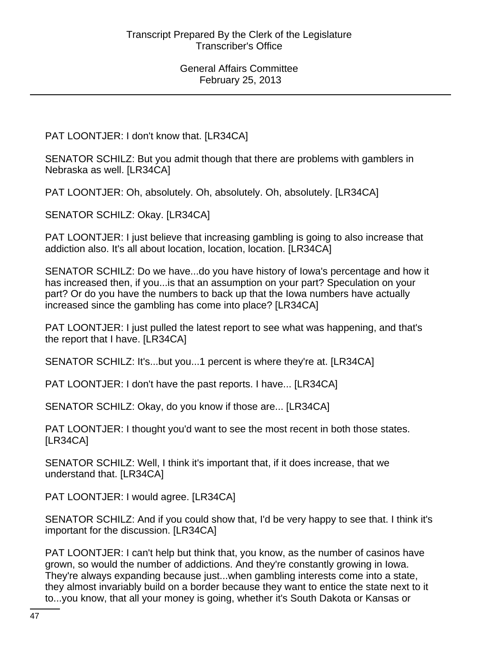PAT LOONTJER: I don't know that. [LR34CA]

SENATOR SCHILZ: But you admit though that there are problems with gamblers in Nebraska as well. [LR34CA]

PAT LOONTJER: Oh, absolutely. Oh, absolutely. Oh, absolutely. [LR34CA]

SENATOR SCHILZ: Okay. [LR34CA]

PAT LOONTJER: I just believe that increasing gambling is going to also increase that addiction also. It's all about location, location, location. [LR34CA]

SENATOR SCHILZ: Do we have...do you have history of Iowa's percentage and how it has increased then, if you...is that an assumption on your part? Speculation on your part? Or do you have the numbers to back up that the Iowa numbers have actually increased since the gambling has come into place? [LR34CA]

PAT LOONTJER: I just pulled the latest report to see what was happening, and that's the report that I have. [LR34CA]

SENATOR SCHILZ: It's...but you...1 percent is where they're at. [LR34CA]

PAT LOONTJER: I don't have the past reports. I have... [LR34CA]

SENATOR SCHILZ: Okay, do you know if those are... [LR34CA]

PAT LOONTJER: I thought you'd want to see the most recent in both those states. [LR34CA]

SENATOR SCHILZ: Well, I think it's important that, if it does increase, that we understand that. [LR34CA]

PAT LOONTJER: I would agree. [LR34CA]

SENATOR SCHILZ: And if you could show that, I'd be very happy to see that. I think it's important for the discussion. [LR34CA]

PAT LOONTJER: I can't help but think that, you know, as the number of casinos have grown, so would the number of addictions. And they're constantly growing in Iowa. They're always expanding because just...when gambling interests come into a state, they almost invariably build on a border because they want to entice the state next to it to...you know, that all your money is going, whether it's South Dakota or Kansas or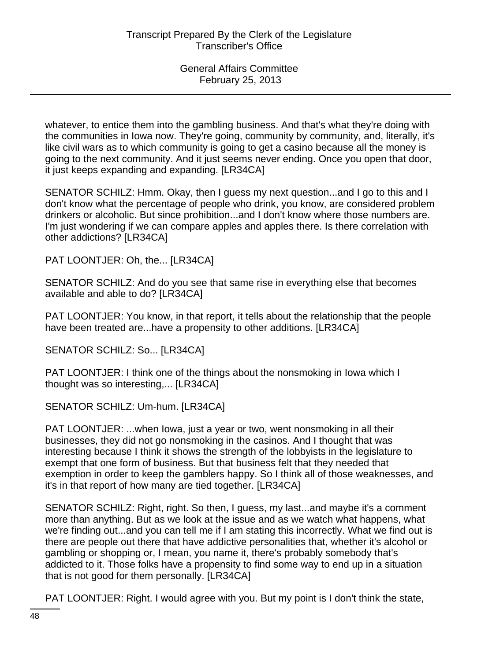whatever, to entice them into the gambling business. And that's what they're doing with the communities in Iowa now. They're going, community by community, and, literally, it's like civil wars as to which community is going to get a casino because all the money is going to the next community. And it just seems never ending. Once you open that door, it just keeps expanding and expanding. [LR34CA]

SENATOR SCHILZ: Hmm. Okay, then I guess my next question...and I go to this and I don't know what the percentage of people who drink, you know, are considered problem drinkers or alcoholic. But since prohibition...and I don't know where those numbers are. I'm just wondering if we can compare apples and apples there. Is there correlation with other addictions? [LR34CA]

PAT LOONTJER: Oh, the... [LR34CA]

SENATOR SCHILZ: And do you see that same rise in everything else that becomes available and able to do? [LR34CA]

PAT LOONTJER: You know, in that report, it tells about the relationship that the people have been treated are...have a propensity to other additions. [LR34CA]

SENATOR SCHILZ: So... [LR34CA]

PAT LOONTJER: I think one of the things about the nonsmoking in Iowa which I thought was so interesting,... [LR34CA]

SENATOR SCHILZ: Um-hum. [LR34CA]

PAT LOONTJER: ...when Iowa, just a year or two, went nonsmoking in all their businesses, they did not go nonsmoking in the casinos. And I thought that was interesting because I think it shows the strength of the lobbyists in the legislature to exempt that one form of business. But that business felt that they needed that exemption in order to keep the gamblers happy. So I think all of those weaknesses, and it's in that report of how many are tied together. [LR34CA]

SENATOR SCHILZ: Right, right. So then, I guess, my last...and maybe it's a comment more than anything. But as we look at the issue and as we watch what happens, what we're finding out...and you can tell me if I am stating this incorrectly. What we find out is there are people out there that have addictive personalities that, whether it's alcohol or gambling or shopping or, I mean, you name it, there's probably somebody that's addicted to it. Those folks have a propensity to find some way to end up in a situation that is not good for them personally. [LR34CA]

PAT LOONTJER: Right. I would agree with you. But my point is I don't think the state,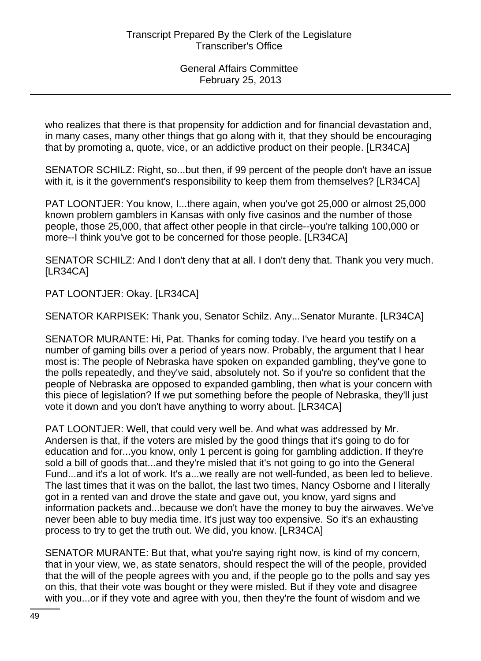who realizes that there is that propensity for addiction and for financial devastation and, in many cases, many other things that go along with it, that they should be encouraging that by promoting a, quote, vice, or an addictive product on their people. [LR34CA]

SENATOR SCHILZ: Right, so...but then, if 99 percent of the people don't have an issue with it, is it the government's responsibility to keep them from themselves? [LR34CA]

PAT LOONTJER: You know, I...there again, when you've got 25,000 or almost 25,000 known problem gamblers in Kansas with only five casinos and the number of those people, those 25,000, that affect other people in that circle--you're talking 100,000 or more--I think you've got to be concerned for those people. [LR34CA]

SENATOR SCHILZ: And I don't deny that at all. I don't deny that. Thank you very much. [LR34CA]

PAT LOONTJER: Okay. [LR34CA]

SENATOR KARPISEK: Thank you, Senator Schilz. Any...Senator Murante. [LR34CA]

SENATOR MURANTE: Hi, Pat. Thanks for coming today. I've heard you testify on a number of gaming bills over a period of years now. Probably, the argument that I hear most is: The people of Nebraska have spoken on expanded gambling, they've gone to the polls repeatedly, and they've said, absolutely not. So if you're so confident that the people of Nebraska are opposed to expanded gambling, then what is your concern with this piece of legislation? If we put something before the people of Nebraska, they'll just vote it down and you don't have anything to worry about. [LR34CA]

PAT LOONTJER: Well, that could very well be. And what was addressed by Mr. Andersen is that, if the voters are misled by the good things that it's going to do for education and for...you know, only 1 percent is going for gambling addiction. If they're sold a bill of goods that...and they're misled that it's not going to go into the General Fund...and it's a lot of work. It's a...we really are not well-funded, as been led to believe. The last times that it was on the ballot, the last two times, Nancy Osborne and I literally got in a rented van and drove the state and gave out, you know, yard signs and information packets and...because we don't have the money to buy the airwaves. We've never been able to buy media time. It's just way too expensive. So it's an exhausting process to try to get the truth out. We did, you know. [LR34CA]

SENATOR MURANTE: But that, what you're saying right now, is kind of my concern, that in your view, we, as state senators, should respect the will of the people, provided that the will of the people agrees with you and, if the people go to the polls and say yes on this, that their vote was bought or they were misled. But if they vote and disagree with you...or if they vote and agree with you, then they're the fount of wisdom and we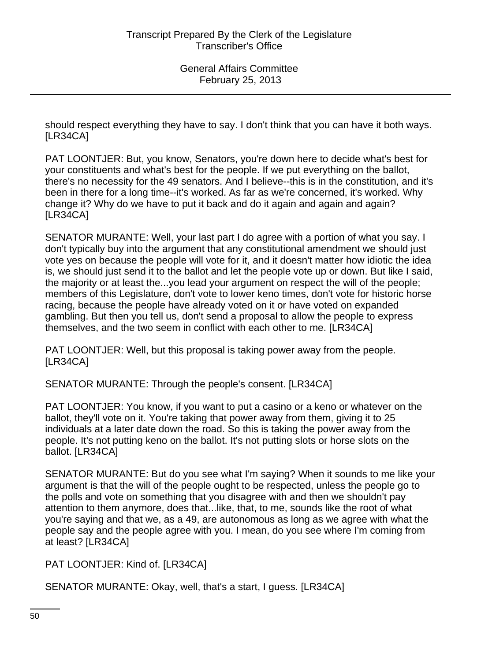should respect everything they have to say. I don't think that you can have it both ways. [LR34CA]

PAT LOONTJER: But, you know, Senators, you're down here to decide what's best for your constituents and what's best for the people. If we put everything on the ballot, there's no necessity for the 49 senators. And I believe--this is in the constitution, and it's been in there for a long time--it's worked. As far as we're concerned, it's worked. Why change it? Why do we have to put it back and do it again and again and again? [LR34CA]

SENATOR MURANTE: Well, your last part I do agree with a portion of what you say. I don't typically buy into the argument that any constitutional amendment we should just vote yes on because the people will vote for it, and it doesn't matter how idiotic the idea is, we should just send it to the ballot and let the people vote up or down. But like I said, the majority or at least the...you lead your argument on respect the will of the people; members of this Legislature, don't vote to lower keno times, don't vote for historic horse racing, because the people have already voted on it or have voted on expanded gambling. But then you tell us, don't send a proposal to allow the people to express themselves, and the two seem in conflict with each other to me. [LR34CA]

PAT LOONTJER: Well, but this proposal is taking power away from the people. [LR34CA]

SENATOR MURANTE: Through the people's consent. [LR34CA]

PAT LOONTJER: You know, if you want to put a casino or a keno or whatever on the ballot, they'll vote on it. You're taking that power away from them, giving it to 25 individuals at a later date down the road. So this is taking the power away from the people. It's not putting keno on the ballot. It's not putting slots or horse slots on the ballot. [LR34CA]

SENATOR MURANTE: But do you see what I'm saying? When it sounds to me like your argument is that the will of the people ought to be respected, unless the people go to the polls and vote on something that you disagree with and then we shouldn't pay attention to them anymore, does that...like, that, to me, sounds like the root of what you're saying and that we, as a 49, are autonomous as long as we agree with what the people say and the people agree with you. I mean, do you see where I'm coming from at least? [LR34CA]

PAT LOONTJER: Kind of. [LR34CA]

SENATOR MURANTE: Okay, well, that's a start, I guess. [LR34CA]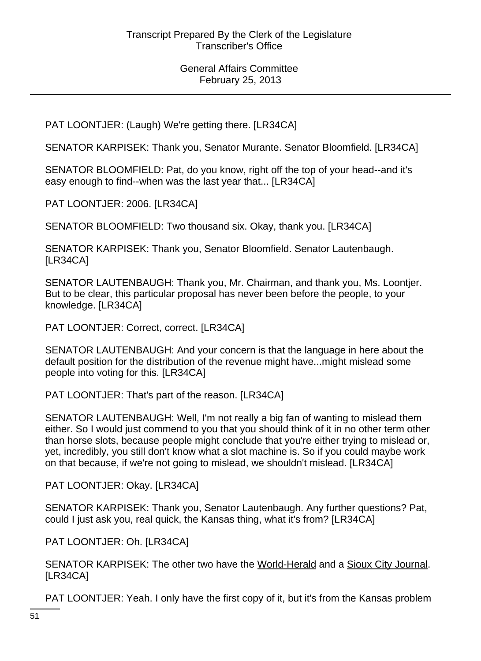PAT LOONTJER: (Laugh) We're getting there. [LR34CA]

SENATOR KARPISEK: Thank you, Senator Murante. Senator Bloomfield. [LR34CA]

SENATOR BLOOMFIELD: Pat, do you know, right off the top of your head--and it's easy enough to find--when was the last year that... [LR34CA]

PAT LOONTJER: 2006. [LR34CA]

SENATOR BLOOMFIELD: Two thousand six. Okay, thank you. [LR34CA]

SENATOR KARPISEK: Thank you, Senator Bloomfield. Senator Lautenbaugh. [LR34CA]

SENATOR LAUTENBAUGH: Thank you, Mr. Chairman, and thank you, Ms. Loontjer. But to be clear, this particular proposal has never been before the people, to your knowledge. [LR34CA]

PAT LOONTJER: Correct, correct. [LR34CA]

SENATOR LAUTENBAUGH: And your concern is that the language in here about the default position for the distribution of the revenue might have...might mislead some people into voting for this. [LR34CA]

PAT LOONTJER: That's part of the reason. [LR34CA]

SENATOR LAUTENBAUGH: Well, I'm not really a big fan of wanting to mislead them either. So I would just commend to you that you should think of it in no other term other than horse slots, because people might conclude that you're either trying to mislead or, yet, incredibly, you still don't know what a slot machine is. So if you could maybe work on that because, if we're not going to mislead, we shouldn't mislead. [LR34CA]

PAT LOONTJER: Okay. [LR34CA]

SENATOR KARPISEK: Thank you, Senator Lautenbaugh. Any further questions? Pat, could I just ask you, real quick, the Kansas thing, what it's from? [LR34CA]

PAT LOONTJER: Oh. [LR34CA]

SENATOR KARPISEK: The other two have the World-Herald and a Sioux City Journal. [LR34CA]

PAT LOONTJER: Yeah. I only have the first copy of it, but it's from the Kansas problem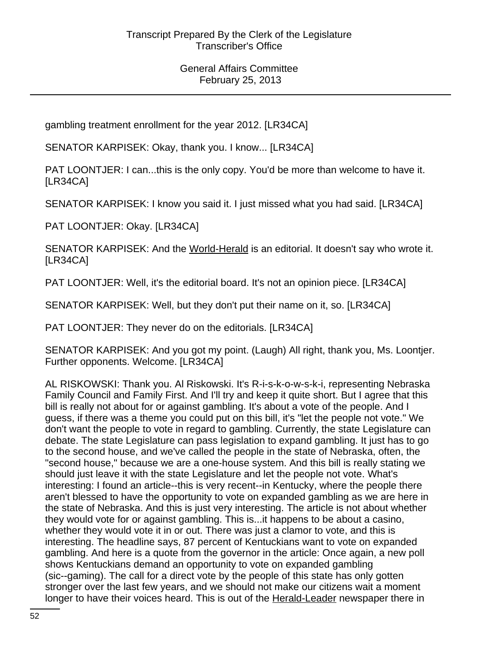gambling treatment enrollment for the year 2012. [LR34CA]

SENATOR KARPISEK: Okay, thank you. I know... [LR34CA]

PAT LOONTJER: I can...this is the only copy. You'd be more than welcome to have it. [LR34CA]

SENATOR KARPISEK: I know you said it. I just missed what you had said. [LR34CA]

PAT LOONTJER: Okay. [LR34CA]

SENATOR KARPISEK: And the World-Herald is an editorial. It doesn't say who wrote it. [LR34CA]

PAT LOONTJER: Well, it's the editorial board. It's not an opinion piece. [LR34CA]

SENATOR KARPISEK: Well, but they don't put their name on it, so. [LR34CA]

PAT LOONTJER: They never do on the editorials. [LR34CA]

SENATOR KARPISEK: And you got my point. (Laugh) All right, thank you, Ms. Loontjer. Further opponents. Welcome. [LR34CA]

AL RISKOWSKI: Thank you. Al Riskowski. It's R-i-s-k-o-w-s-k-i, representing Nebraska Family Council and Family First. And I'll try and keep it quite short. But I agree that this bill is really not about for or against gambling. It's about a vote of the people. And I guess, if there was a theme you could put on this bill, it's "let the people not vote." We don't want the people to vote in regard to gambling. Currently, the state Legislature can debate. The state Legislature can pass legislation to expand gambling. It just has to go to the second house, and we've called the people in the state of Nebraska, often, the "second house," because we are a one-house system. And this bill is really stating we should just leave it with the state Legislature and let the people not vote. What's interesting: I found an article--this is very recent--in Kentucky, where the people there aren't blessed to have the opportunity to vote on expanded gambling as we are here in the state of Nebraska. And this is just very interesting. The article is not about whether they would vote for or against gambling. This is...it happens to be about a casino, whether they would vote it in or out. There was just a clamor to vote, and this is interesting. The headline says, 87 percent of Kentuckians want to vote on expanded gambling. And here is a quote from the governor in the article: Once again, a new poll shows Kentuckians demand an opportunity to vote on expanded gambling (sic--gaming). The call for a direct vote by the people of this state has only gotten stronger over the last few years, and we should not make our citizens wait a moment longer to have their voices heard. This is out of the Herald-Leader newspaper there in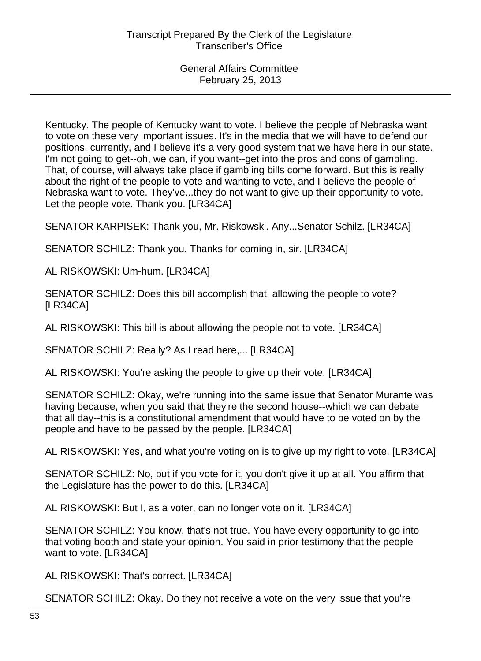Kentucky. The people of Kentucky want to vote. I believe the people of Nebraska want to vote on these very important issues. It's in the media that we will have to defend our positions, currently, and I believe it's a very good system that we have here in our state. I'm not going to get--oh, we can, if you want--get into the pros and cons of gambling. That, of course, will always take place if gambling bills come forward. But this is really about the right of the people to vote and wanting to vote, and I believe the people of Nebraska want to vote. They've...they do not want to give up their opportunity to vote. Let the people vote. Thank you. [LR34CA]

SENATOR KARPISEK: Thank you, Mr. Riskowski. Any...Senator Schilz. [LR34CA]

SENATOR SCHILZ: Thank you. Thanks for coming in, sir. [LR34CA]

AL RISKOWSKI: Um-hum. [LR34CA]

SENATOR SCHILZ: Does this bill accomplish that, allowing the people to vote? [LR34CA]

AL RISKOWSKI: This bill is about allowing the people not to vote. [LR34CA]

SENATOR SCHILZ: Really? As I read here,... [LR34CA]

AL RISKOWSKI: You're asking the people to give up their vote. [LR34CA]

SENATOR SCHILZ: Okay, we're running into the same issue that Senator Murante was having because, when you said that they're the second house--which we can debate that all day--this is a constitutional amendment that would have to be voted on by the people and have to be passed by the people. [LR34CA]

AL RISKOWSKI: Yes, and what you're voting on is to give up my right to vote. [LR34CA]

SENATOR SCHILZ: No, but if you vote for it, you don't give it up at all. You affirm that the Legislature has the power to do this. [LR34CA]

AL RISKOWSKI: But I, as a voter, can no longer vote on it. [LR34CA]

SENATOR SCHILZ: You know, that's not true. You have every opportunity to go into that voting booth and state your opinion. You said in prior testimony that the people want to vote. [LR34CA]

AL RISKOWSKI: That's correct. [LR34CA]

SENATOR SCHILZ: Okay. Do they not receive a vote on the very issue that you're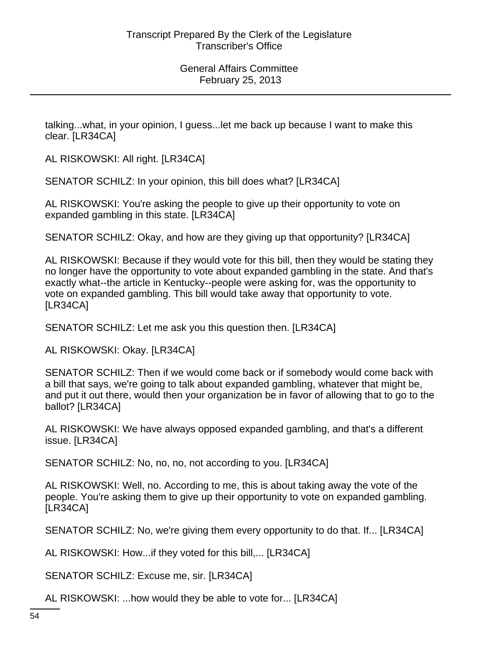talking...what, in your opinion, I guess...let me back up because I want to make this clear. [LR34CA]

AL RISKOWSKI: All right. [LR34CA]

SENATOR SCHILZ: In your opinion, this bill does what? [LR34CA]

AL RISKOWSKI: You're asking the people to give up their opportunity to vote on expanded gambling in this state. [LR34CA]

SENATOR SCHILZ: Okay, and how are they giving up that opportunity? [LR34CA]

AL RISKOWSKI: Because if they would vote for this bill, then they would be stating they no longer have the opportunity to vote about expanded gambling in the state. And that's exactly what--the article in Kentucky--people were asking for, was the opportunity to vote on expanded gambling. This bill would take away that opportunity to vote. [LR34CA]

SENATOR SCHILZ: Let me ask you this question then. [LR34CA]

AL RISKOWSKI: Okay. [LR34CA]

SENATOR SCHILZ: Then if we would come back or if somebody would come back with a bill that says, we're going to talk about expanded gambling, whatever that might be, and put it out there, would then your organization be in favor of allowing that to go to the ballot? [LR34CA]

AL RISKOWSKI: We have always opposed expanded gambling, and that's a different issue. [LR34CA]

SENATOR SCHILZ: No, no, no, not according to you. [LR34CA]

AL RISKOWSKI: Well, no. According to me, this is about taking away the vote of the people. You're asking them to give up their opportunity to vote on expanded gambling. [LR34CA]

SENATOR SCHILZ: No, we're giving them every opportunity to do that. If... [LR34CA]

AL RISKOWSKI: How...if they voted for this bill,... [LR34CA]

SENATOR SCHILZ: Excuse me, sir. [LR34CA]

AL RISKOWSKI: ...how would they be able to vote for... [LR34CA]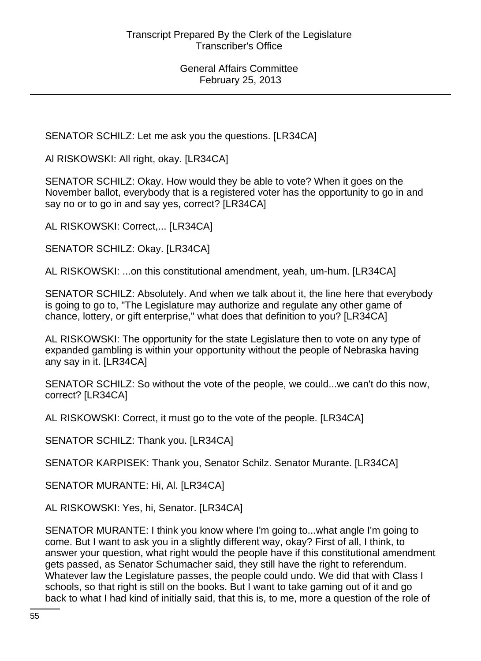SENATOR SCHILZ: Let me ask you the questions. [LR34CA]

Al RISKOWSKI: All right, okay. [LR34CA]

SENATOR SCHILZ: Okay. How would they be able to vote? When it goes on the November ballot, everybody that is a registered voter has the opportunity to go in and say no or to go in and say yes, correct? [LR34CA]

AL RISKOWSKI: Correct,... [LR34CA]

SENATOR SCHILZ: Okay. [LR34CA]

AL RISKOWSKI: ...on this constitutional amendment, yeah, um-hum. [LR34CA]

SENATOR SCHILZ: Absolutely. And when we talk about it, the line here that everybody is going to go to, "The Legislature may authorize and regulate any other game of chance, lottery, or gift enterprise," what does that definition to you? [LR34CA]

AL RISKOWSKI: The opportunity for the state Legislature then to vote on any type of expanded gambling is within your opportunity without the people of Nebraska having any say in it. [LR34CA]

SENATOR SCHILZ: So without the vote of the people, we could...we can't do this now, correct? [LR34CA]

AL RISKOWSKI: Correct, it must go to the vote of the people. [LR34CA]

SENATOR SCHILZ: Thank you. [LR34CA]

SENATOR KARPISEK: Thank you, Senator Schilz. Senator Murante. [LR34CA]

SENATOR MURANTE: Hi, Al. [LR34CA]

AL RISKOWSKI: Yes, hi, Senator. [LR34CA]

SENATOR MURANTE: I think you know where I'm going to...what angle I'm going to come. But I want to ask you in a slightly different way, okay? First of all, I think, to answer your question, what right would the people have if this constitutional amendment gets passed, as Senator Schumacher said, they still have the right to referendum. Whatever law the Legislature passes, the people could undo. We did that with Class I schools, so that right is still on the books. But I want to take gaming out of it and go back to what I had kind of initially said, that this is, to me, more a question of the role of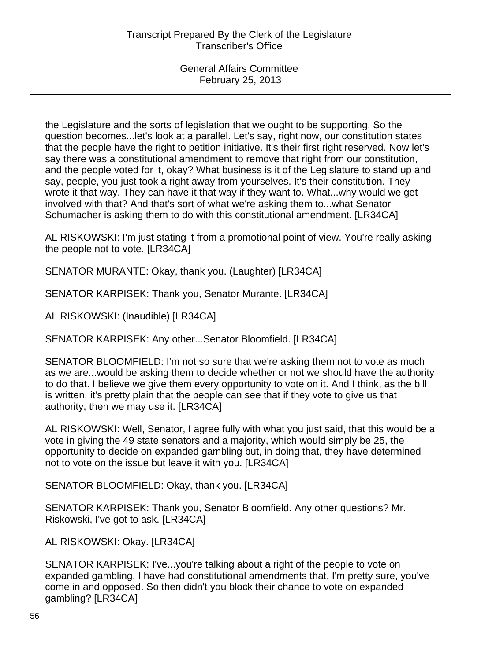the Legislature and the sorts of legislation that we ought to be supporting. So the question becomes...let's look at a parallel. Let's say, right now, our constitution states that the people have the right to petition initiative. It's their first right reserved. Now let's say there was a constitutional amendment to remove that right from our constitution, and the people voted for it, okay? What business is it of the Legislature to stand up and say, people, you just took a right away from yourselves. It's their constitution. They wrote it that way. They can have it that way if they want to. What...why would we get involved with that? And that's sort of what we're asking them to...what Senator Schumacher is asking them to do with this constitutional amendment. [LR34CA]

AL RISKOWSKI: I'm just stating it from a promotional point of view. You're really asking the people not to vote. [LR34CA]

SENATOR MURANTE: Okay, thank you. (Laughter) [LR34CA]

SENATOR KARPISEK: Thank you, Senator Murante. [LR34CA]

AL RISKOWSKI: (Inaudible) [LR34CA]

SENATOR KARPISEK: Any other...Senator Bloomfield. [LR34CA]

SENATOR BLOOMFIELD: I'm not so sure that we're asking them not to vote as much as we are...would be asking them to decide whether or not we should have the authority to do that. I believe we give them every opportunity to vote on it. And I think, as the bill is written, it's pretty plain that the people can see that if they vote to give us that authority, then we may use it. [LR34CA]

AL RISKOWSKI: Well, Senator, I agree fully with what you just said, that this would be a vote in giving the 49 state senators and a majority, which would simply be 25, the opportunity to decide on expanded gambling but, in doing that, they have determined not to vote on the issue but leave it with you. [LR34CA]

SENATOR BLOOMFIELD: Okay, thank you. [LR34CA]

SENATOR KARPISEK: Thank you, Senator Bloomfield. Any other questions? Mr. Riskowski, I've got to ask. [LR34CA]

AL RISKOWSKI: Okay. [LR34CA]

SENATOR KARPISEK: I've...you're talking about a right of the people to vote on expanded gambling. I have had constitutional amendments that, I'm pretty sure, you've come in and opposed. So then didn't you block their chance to vote on expanded gambling? [LR34CA]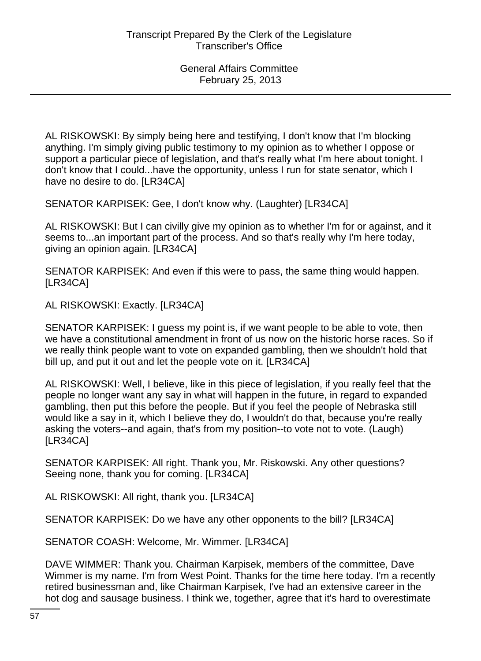AL RISKOWSKI: By simply being here and testifying, I don't know that I'm blocking anything. I'm simply giving public testimony to my opinion as to whether I oppose or support a particular piece of legislation, and that's really what I'm here about tonight. I don't know that I could...have the opportunity, unless I run for state senator, which I have no desire to do. [LR34CA]

SENATOR KARPISEK: Gee, I don't know why. (Laughter) [LR34CA]

AL RISKOWSKI: But I can civilly give my opinion as to whether I'm for or against, and it seems to...an important part of the process. And so that's really why I'm here today, giving an opinion again. [LR34CA]

SENATOR KARPISEK: And even if this were to pass, the same thing would happen. [LR34CA]

AL RISKOWSKI: Exactly. [LR34CA]

SENATOR KARPISEK: I guess my point is, if we want people to be able to vote, then we have a constitutional amendment in front of us now on the historic horse races. So if we really think people want to vote on expanded gambling, then we shouldn't hold that bill up, and put it out and let the people vote on it. [LR34CA]

AL RISKOWSKI: Well, I believe, like in this piece of legislation, if you really feel that the people no longer want any say in what will happen in the future, in regard to expanded gambling, then put this before the people. But if you feel the people of Nebraska still would like a say in it, which I believe they do, I wouldn't do that, because you're really asking the voters--and again, that's from my position--to vote not to vote. (Laugh) [LR34CA]

SENATOR KARPISEK: All right. Thank you, Mr. Riskowski. Any other questions? Seeing none, thank you for coming. [LR34CA]

AL RISKOWSKI: All right, thank you. [LR34CA]

SENATOR KARPISEK: Do we have any other opponents to the bill? [LR34CA]

SENATOR COASH: Welcome, Mr. Wimmer. [LR34CA]

DAVE WIMMER: Thank you. Chairman Karpisek, members of the committee, Dave Wimmer is my name. I'm from West Point. Thanks for the time here today. I'm a recently retired businessman and, like Chairman Karpisek, I've had an extensive career in the hot dog and sausage business. I think we, together, agree that it's hard to overestimate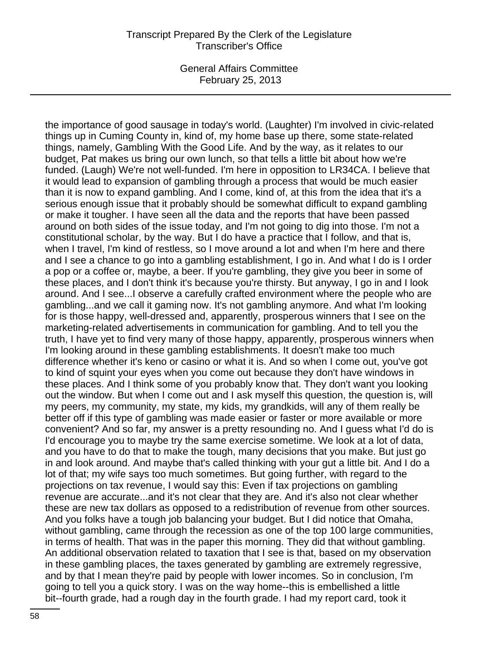General Affairs Committee February 25, 2013

the importance of good sausage in today's world. (Laughter) I'm involved in civic-related things up in Cuming County in, kind of, my home base up there, some state-related things, namely, Gambling With the Good Life. And by the way, as it relates to our budget, Pat makes us bring our own lunch, so that tells a little bit about how we're funded. (Laugh) We're not well-funded. I'm here in opposition to LR34CA. I believe that it would lead to expansion of gambling through a process that would be much easier than it is now to expand gambling. And I come, kind of, at this from the idea that it's a serious enough issue that it probably should be somewhat difficult to expand gambling or make it tougher. I have seen all the data and the reports that have been passed around on both sides of the issue today, and I'm not going to dig into those. I'm not a constitutional scholar, by the way. But I do have a practice that I follow, and that is, when I travel, I'm kind of restless, so I move around a lot and when I'm here and there and I see a chance to go into a gambling establishment, I go in. And what I do is I order a pop or a coffee or, maybe, a beer. If you're gambling, they give you beer in some of these places, and I don't think it's because you're thirsty. But anyway, I go in and I look around. And I see...I observe a carefully crafted environment where the people who are gambling...and we call it gaming now. It's not gambling anymore. And what I'm looking for is those happy, well-dressed and, apparently, prosperous winners that I see on the marketing-related advertisements in communication for gambling. And to tell you the truth, I have yet to find very many of those happy, apparently, prosperous winners when I'm looking around in these gambling establishments. It doesn't make too much difference whether it's keno or casino or what it is. And so when I come out, you've got to kind of squint your eyes when you come out because they don't have windows in these places. And I think some of you probably know that. They don't want you looking out the window. But when I come out and I ask myself this question, the question is, will my peers, my community, my state, my kids, my grandkids, will any of them really be better off if this type of gambling was made easier or faster or more available or more convenient? And so far, my answer is a pretty resounding no. And I guess what I'd do is I'd encourage you to maybe try the same exercise sometime. We look at a lot of data, and you have to do that to make the tough, many decisions that you make. But just go in and look around. And maybe that's called thinking with your gut a little bit. And I do a lot of that; my wife says too much sometimes. But going further, with regard to the projections on tax revenue, I would say this: Even if tax projections on gambling revenue are accurate...and it's not clear that they are. And it's also not clear whether these are new tax dollars as opposed to a redistribution of revenue from other sources. And you folks have a tough job balancing your budget. But I did notice that Omaha, without gambling, came through the recession as one of the top 100 large communities, in terms of health. That was in the paper this morning. They did that without gambling. An additional observation related to taxation that I see is that, based on my observation in these gambling places, the taxes generated by gambling are extremely regressive, and by that I mean they're paid by people with lower incomes. So in conclusion, I'm going to tell you a quick story. I was on the way home--this is embellished a little bit--fourth grade, had a rough day in the fourth grade. I had my report card, took it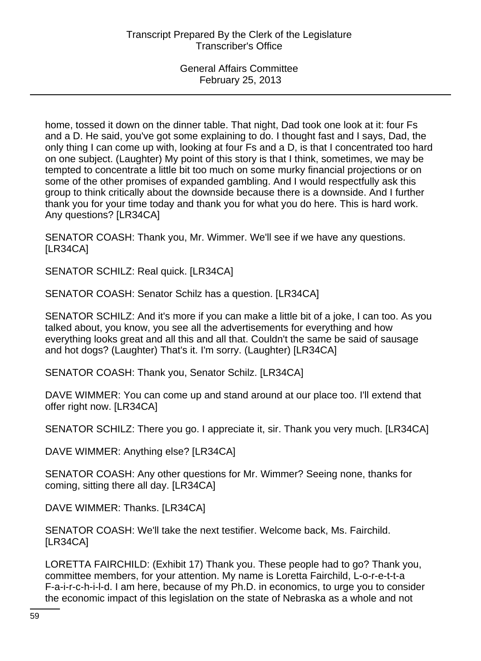home, tossed it down on the dinner table. That night, Dad took one look at it: four Fs and a D. He said, you've got some explaining to do. I thought fast and I says, Dad, the only thing I can come up with, looking at four Fs and a D, is that I concentrated too hard on one subject. (Laughter) My point of this story is that I think, sometimes, we may be tempted to concentrate a little bit too much on some murky financial projections or on some of the other promises of expanded gambling. And I would respectfully ask this group to think critically about the downside because there is a downside. And I further thank you for your time today and thank you for what you do here. This is hard work. Any questions? [LR34CA]

SENATOR COASH: Thank you, Mr. Wimmer. We'll see if we have any questions. [LR34CA]

SENATOR SCHILZ: Real quick. [LR34CA]

SENATOR COASH: Senator Schilz has a question. [LR34CA]

SENATOR SCHILZ: And it's more if you can make a little bit of a joke, I can too. As you talked about, you know, you see all the advertisements for everything and how everything looks great and all this and all that. Couldn't the same be said of sausage and hot dogs? (Laughter) That's it. I'm sorry. (Laughter) [LR34CA]

SENATOR COASH: Thank you, Senator Schilz. [LR34CA]

DAVE WIMMER: You can come up and stand around at our place too. I'll extend that offer right now. [LR34CA]

SENATOR SCHILZ: There you go. I appreciate it, sir. Thank you very much. [LR34CA]

DAVE WIMMER: Anything else? [LR34CA]

SENATOR COASH: Any other questions for Mr. Wimmer? Seeing none, thanks for coming, sitting there all day. [LR34CA]

DAVE WIMMER: Thanks. [LR34CA]

SENATOR COASH: We'll take the next testifier. Welcome back, Ms. Fairchild. [LR34CA]

LORETTA FAIRCHILD: (Exhibit 17) Thank you. These people had to go? Thank you, committee members, for your attention. My name is Loretta Fairchild, L-o-r-e-t-t-a F-a-i-r-c-h-i-l-d. I am here, because of my Ph.D. in economics, to urge you to consider the economic impact of this legislation on the state of Nebraska as a whole and not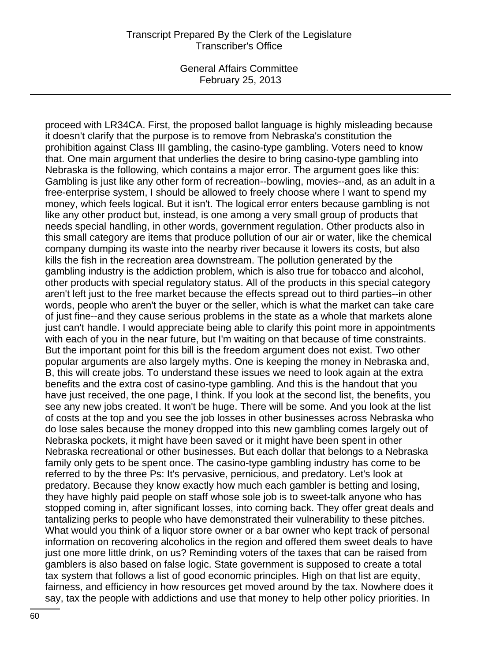General Affairs Committee February 25, 2013

proceed with LR34CA. First, the proposed ballot language is highly misleading because it doesn't clarify that the purpose is to remove from Nebraska's constitution the prohibition against Class III gambling, the casino-type gambling. Voters need to know that. One main argument that underlies the desire to bring casino-type gambling into Nebraska is the following, which contains a major error. The argument goes like this: Gambling is just like any other form of recreation--bowling, movies--and, as an adult in a free-enterprise system, I should be allowed to freely choose where I want to spend my money, which feels logical. But it isn't. The logical error enters because gambling is not like any other product but, instead, is one among a very small group of products that needs special handling, in other words, government regulation. Other products also in this small category are items that produce pollution of our air or water, like the chemical company dumping its waste into the nearby river because it lowers its costs, but also kills the fish in the recreation area downstream. The pollution generated by the gambling industry is the addiction problem, which is also true for tobacco and alcohol, other products with special regulatory status. All of the products in this special category aren't left just to the free market because the effects spread out to third parties--in other words, people who aren't the buyer or the seller, which is what the market can take care of just fine--and they cause serious problems in the state as a whole that markets alone just can't handle. I would appreciate being able to clarify this point more in appointments with each of you in the near future, but I'm waiting on that because of time constraints. But the important point for this bill is the freedom argument does not exist. Two other popular arguments are also largely myths. One is keeping the money in Nebraska and, B, this will create jobs. To understand these issues we need to look again at the extra benefits and the extra cost of casino-type gambling. And this is the handout that you have just received, the one page, I think. If you look at the second list, the benefits, you see any new jobs created. It won't be huge. There will be some. And you look at the list of costs at the top and you see the job losses in other businesses across Nebraska who do lose sales because the money dropped into this new gambling comes largely out of Nebraska pockets, it might have been saved or it might have been spent in other Nebraska recreational or other businesses. But each dollar that belongs to a Nebraska family only gets to be spent once. The casino-type gambling industry has come to be referred to by the three Ps: It's pervasive, pernicious, and predatory. Let's look at predatory. Because they know exactly how much each gambler is betting and losing, they have highly paid people on staff whose sole job is to sweet-talk anyone who has stopped coming in, after significant losses, into coming back. They offer great deals and tantalizing perks to people who have demonstrated their vulnerability to these pitches. What would you think of a liquor store owner or a bar owner who kept track of personal information on recovering alcoholics in the region and offered them sweet deals to have just one more little drink, on us? Reminding voters of the taxes that can be raised from gamblers is also based on false logic. State government is supposed to create a total tax system that follows a list of good economic principles. High on that list are equity, fairness, and efficiency in how resources get moved around by the tax. Nowhere does it say, tax the people with addictions and use that money to help other policy priorities. In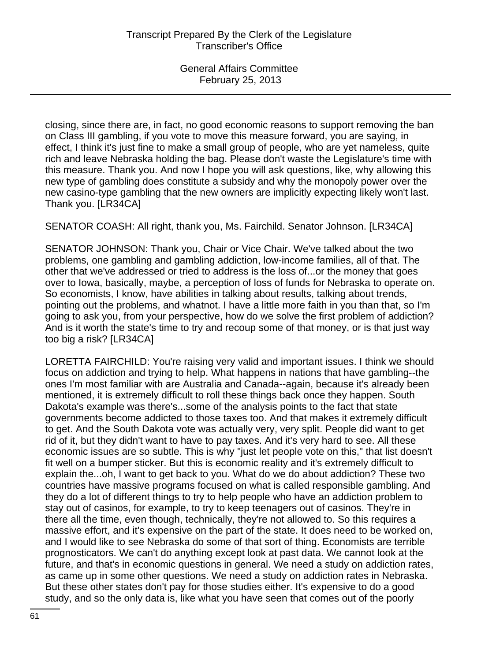closing, since there are, in fact, no good economic reasons to support removing the ban on Class III gambling, if you vote to move this measure forward, you are saying, in effect, I think it's just fine to make a small group of people, who are yet nameless, quite rich and leave Nebraska holding the bag. Please don't waste the Legislature's time with this measure. Thank you. And now I hope you will ask questions, like, why allowing this new type of gambling does constitute a subsidy and why the monopoly power over the new casino-type gambling that the new owners are implicitly expecting likely won't last. Thank you. [LR34CA]

SENATOR COASH: All right, thank you, Ms. Fairchild. Senator Johnson. [LR34CA]

SENATOR JOHNSON: Thank you, Chair or Vice Chair. We've talked about the two problems, one gambling and gambling addiction, low-income families, all of that. The other that we've addressed or tried to address is the loss of...or the money that goes over to Iowa, basically, maybe, a perception of loss of funds for Nebraska to operate on. So economists, I know, have abilities in talking about results, talking about trends, pointing out the problems, and whatnot. I have a little more faith in you than that, so I'm going to ask you, from your perspective, how do we solve the first problem of addiction? And is it worth the state's time to try and recoup some of that money, or is that just way too big a risk? [LR34CA]

LORETTA FAIRCHILD: You're raising very valid and important issues. I think we should focus on addiction and trying to help. What happens in nations that have gambling--the ones I'm most familiar with are Australia and Canada--again, because it's already been mentioned, it is extremely difficult to roll these things back once they happen. South Dakota's example was there's...some of the analysis points to the fact that state governments become addicted to those taxes too. And that makes it extremely difficult to get. And the South Dakota vote was actually very, very split. People did want to get rid of it, but they didn't want to have to pay taxes. And it's very hard to see. All these economic issues are so subtle. This is why "just let people vote on this," that list doesn't fit well on a bumper sticker. But this is economic reality and it's extremely difficult to explain the...oh, I want to get back to you. What do we do about addiction? These two countries have massive programs focused on what is called responsible gambling. And they do a lot of different things to try to help people who have an addiction problem to stay out of casinos, for example, to try to keep teenagers out of casinos. They're in there all the time, even though, technically, they're not allowed to. So this requires a massive effort, and it's expensive on the part of the state. It does need to be worked on, and I would like to see Nebraska do some of that sort of thing. Economists are terrible prognosticators. We can't do anything except look at past data. We cannot look at the future, and that's in economic questions in general. We need a study on addiction rates, as came up in some other questions. We need a study on addiction rates in Nebraska. But these other states don't pay for those studies either. It's expensive to do a good study, and so the only data is, like what you have seen that comes out of the poorly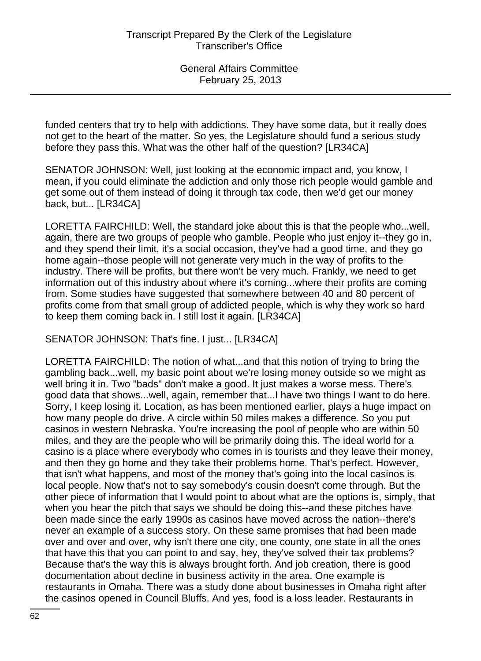funded centers that try to help with addictions. They have some data, but it really does not get to the heart of the matter. So yes, the Legislature should fund a serious study before they pass this. What was the other half of the question? [LR34CA]

SENATOR JOHNSON: Well, just looking at the economic impact and, you know, I mean, if you could eliminate the addiction and only those rich people would gamble and get some out of them instead of doing it through tax code, then we'd get our money back, but... [LR34CA]

LORETTA FAIRCHILD: Well, the standard joke about this is that the people who...well, again, there are two groups of people who gamble. People who just enjoy it--they go in, and they spend their limit, it's a social occasion, they've had a good time, and they go home again--those people will not generate very much in the way of profits to the industry. There will be profits, but there won't be very much. Frankly, we need to get information out of this industry about where it's coming...where their profits are coming from. Some studies have suggested that somewhere between 40 and 80 percent of profits come from that small group of addicted people, which is why they work so hard to keep them coming back in. I still lost it again. [LR34CA]

SENATOR JOHNSON: That's fine. I just... [LR34CA]

LORETTA FAIRCHILD: The notion of what...and that this notion of trying to bring the gambling back...well, my basic point about we're losing money outside so we might as well bring it in. Two "bads" don't make a good. It just makes a worse mess. There's good data that shows...well, again, remember that...I have two things I want to do here. Sorry, I keep losing it. Location, as has been mentioned earlier, plays a huge impact on how many people do drive. A circle within 50 miles makes a difference. So you put casinos in western Nebraska. You're increasing the pool of people who are within 50 miles, and they are the people who will be primarily doing this. The ideal world for a casino is a place where everybody who comes in is tourists and they leave their money, and then they go home and they take their problems home. That's perfect. However, that isn't what happens, and most of the money that's going into the local casinos is local people. Now that's not to say somebody's cousin doesn't come through. But the other piece of information that I would point to about what are the options is, simply, that when you hear the pitch that says we should be doing this--and these pitches have been made since the early 1990s as casinos have moved across the nation--there's never an example of a success story. On these same promises that had been made over and over and over, why isn't there one city, one county, one state in all the ones that have this that you can point to and say, hey, they've solved their tax problems? Because that's the way this is always brought forth. And job creation, there is good documentation about decline in business activity in the area. One example is restaurants in Omaha. There was a study done about businesses in Omaha right after the casinos opened in Council Bluffs. And yes, food is a loss leader. Restaurants in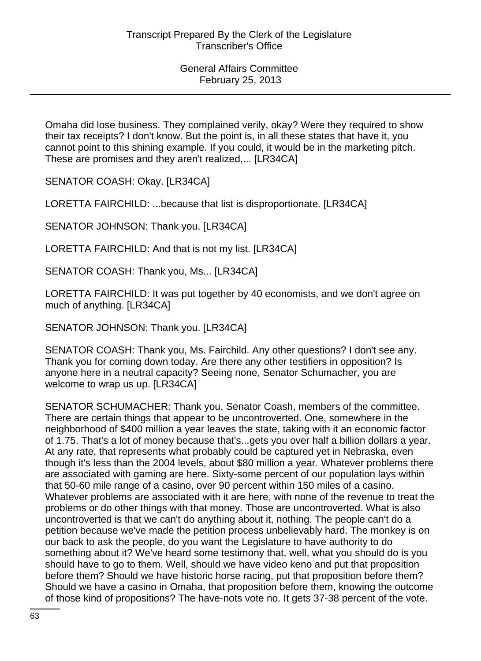Omaha did lose business. They complained verily, okay? Were they required to show their tax receipts? I don't know. But the point is, in all these states that have it, you cannot point to this shining example. If you could, it would be in the marketing pitch. These are promises and they aren't realized,... [LR34CA]

SENATOR COASH: Okay. [LR34CA]

LORETTA FAIRCHILD: ...because that list is disproportionate. [LR34CA]

SENATOR JOHNSON: Thank you. [LR34CA]

LORETTA FAIRCHILD: And that is not my list. [LR34CA]

SENATOR COASH: Thank you, Ms... [LR34CA]

LORETTA FAIRCHILD: It was put together by 40 economists, and we don't agree on much of anything. [LR34CA]

SENATOR JOHNSON: Thank you. [LR34CA]

SENATOR COASH: Thank you, Ms. Fairchild. Any other questions? I don't see any. Thank you for coming down today. Are there any other testifiers in opposition? Is anyone here in a neutral capacity? Seeing none, Senator Schumacher, you are welcome to wrap us up. [LR34CA]

SENATOR SCHUMACHER: Thank you, Senator Coash, members of the committee. There are certain things that appear to be uncontroverted. One, somewhere in the neighborhood of \$400 million a year leaves the state, taking with it an economic factor of 1.75. That's a lot of money because that's...gets you over half a billion dollars a year. At any rate, that represents what probably could be captured yet in Nebraska, even though it's less than the 2004 levels, about \$80 million a year. Whatever problems there are associated with gaming are here. Sixty-some percent of our population lays within that 50-60 mile range of a casino, over 90 percent within 150 miles of a casino. Whatever problems are associated with it are here, with none of the revenue to treat the problems or do other things with that money. Those are uncontroverted. What is also uncontroverted is that we can't do anything about it, nothing. The people can't do a petition because we've made the petition process unbelievably hard. The monkey is on our back to ask the people, do you want the Legislature to have authority to do something about it? We've heard some testimony that, well, what you should do is you should have to go to them. Well, should we have video keno and put that proposition before them? Should we have historic horse racing, put that proposition before them? Should we have a casino in Omaha, that proposition before them, knowing the outcome of those kind of propositions? The have-nots vote no. It gets 37-38 percent of the vote.